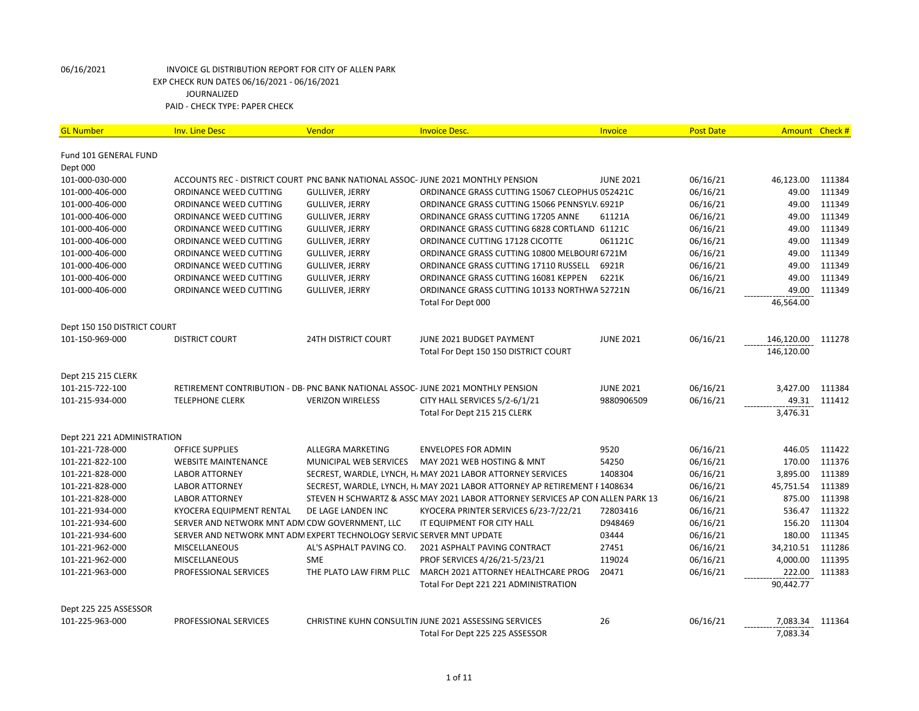| <b>GL Number</b>            | <b>Inv. Line Desc</b>                                                            | Vendor                     | <b>Invoice Desc.</b>                                                           | Invoice          | <b>Post Date</b> |            | Amount Check # |
|-----------------------------|----------------------------------------------------------------------------------|----------------------------|--------------------------------------------------------------------------------|------------------|------------------|------------|----------------|
| Fund 101 GENERAL FUND       |                                                                                  |                            |                                                                                |                  |                  |            |                |
| Dept 000                    |                                                                                  |                            |                                                                                |                  |                  |            |                |
| 101-000-030-000             | ACCOUNTS REC - DISTRICT COURT PNC BANK NATIONAL ASSOC- JUNE 2021 MONTHLY PENSION |                            |                                                                                | <b>JUNE 2021</b> | 06/16/21         | 46,123.00  | 111384         |
| 101-000-406-000             | ORDINANCE WEED CUTTING                                                           | <b>GULLIVER, JERRY</b>     | ORDINANCE GRASS CUTTING 15067 CLEOPHUS 052421C                                 |                  | 06/16/21         | 49.00      | 111349         |
| 101-000-406-000             | ORDINANCE WEED CUTTING                                                           | <b>GULLIVER, JERRY</b>     | ORDINANCE GRASS CUTTING 15066 PENNSYLV, 6921P                                  |                  | 06/16/21         | 49.00      | 111349         |
| 101-000-406-000             | ORDINANCE WEED CUTTING                                                           | <b>GULLIVER, JERRY</b>     | ORDINANCE GRASS CUTTING 17205 ANNE                                             | 61121A           | 06/16/21         | 49.00      | 111349         |
| 101-000-406-000             | ORDINANCE WEED CUTTING                                                           | <b>GULLIVER, JERRY</b>     | ORDINANCE GRASS CUTTING 6828 CORTLAND 61121C                                   |                  | 06/16/21         | 49.00      | 111349         |
| 101-000-406-000             | ORDINANCE WEED CUTTING                                                           | <b>GULLIVER, JERRY</b>     | ORDINANCE CUTTING 17128 CICOTTE                                                | 061121C          | 06/16/21         | 49.00      | 111349         |
| 101-000-406-000             | ORDINANCE WEED CUTTING                                                           | <b>GULLIVER, JERRY</b>     | ORDINANCE GRASS CUTTING 10800 MELBOURI 6721M                                   |                  | 06/16/21         | 49.00      | 111349         |
| 101-000-406-000             | ORDINANCE WEED CUTTING                                                           | <b>GULLIVER, JERRY</b>     | ORDINANCE GRASS CUTTING 17110 RUSSELL                                          | 6921R            | 06/16/21         | 49.00      | 111349         |
| 101-000-406-000             | ORDINANCE WEED CUTTING                                                           | <b>GULLIVER, JERRY</b>     | ORDINANCE GRASS CUTTING 16081 KEPPEN                                           | 6221K            | 06/16/21         | 49.00      | 111349         |
| 101-000-406-000             | ORDINANCE WEED CUTTING                                                           | <b>GULLIVER, JERRY</b>     | ORDINANCE GRASS CUTTING 10133 NORTHWA 52721N                                   |                  | 06/16/21         | 49.00      | 111349         |
|                             |                                                                                  |                            | Total For Dept 000                                                             |                  |                  | 46,564.00  |                |
| Dept 150 150 DISTRICT COURT |                                                                                  |                            |                                                                                |                  |                  |            |                |
| 101-150-969-000             | <b>DISTRICT COURT</b>                                                            | <b>24TH DISTRICT COURT</b> | JUNE 2021 BUDGET PAYMENT                                                       | <b>JUNE 2021</b> | 06/16/21         | 146,120.00 | 111278         |
|                             |                                                                                  |                            | Total For Dept 150 150 DISTRICT COURT                                          |                  |                  | 146,120.00 |                |
|                             |                                                                                  |                            |                                                                                |                  |                  |            |                |
| Dept 215 215 CLERK          |                                                                                  |                            |                                                                                |                  |                  |            |                |
| 101-215-722-100             | RETIREMENT CONTRIBUTION - DB- PNC BANK NATIONAL ASSOC- JUNE 2021 MONTHLY PENSION |                            |                                                                                | <b>JUNE 2021</b> | 06/16/21         | 3,427.00   | 111384         |
| 101-215-934-000             | <b>TELEPHONE CLERK</b>                                                           | <b>VERIZON WIRELESS</b>    | CITY HALL SERVICES 5/2-6/1/21                                                  | 9880906509       | 06/16/21         | 49.31      | 111412         |
|                             |                                                                                  |                            | Total For Dept 215 215 CLERK                                                   |                  |                  | 3,476.31   |                |
| Dept 221 221 ADMINISTRATION |                                                                                  |                            |                                                                                |                  |                  |            |                |
| 101-221-728-000             | <b>OFFICE SUPPLIES</b>                                                           | ALLEGRA MARKETING          | <b>ENVELOPES FOR ADMIN</b>                                                     | 9520             | 06/16/21         | 446.05     | 111422         |
| 101-221-822-100             | <b>WEBSITE MAINTENANCE</b>                                                       | MUNICIPAL WEB SERVICES     | MAY 2021 WEB HOSTING & MNT                                                     | 54250            | 06/16/21         | 170.00     | 111376         |
| 101-221-828-000             | <b>LABOR ATTORNEY</b>                                                            |                            | SECREST, WARDLE, LYNCH, H, MAY 2021 LABOR ATTORNEY SERVICES                    | 1408304          | 06/16/21         | 3,895.00   | 111389         |
| 101-221-828-000             | <b>LABOR ATTORNEY</b>                                                            |                            | SECREST, WARDLE, LYNCH, H, MAY 2021 LABOR ATTORNEY AP RETIREMENT F1408634      |                  | 06/16/21         | 45,751.54  | 111389         |
| 101-221-828-000             | <b>LABOR ATTORNEY</b>                                                            |                            | STEVEN H SCHWARTZ & ASSC MAY 2021 LABOR ATTORNEY SERVICES AP CON ALLEN PARK 13 |                  | 06/16/21         | 875.00     | 111398         |
| 101-221-934-000             | KYOCERA EQUIPMENT RENTAL                                                         | DE LAGE LANDEN INC         | KYOCERA PRINTER SERVICES 6/23-7/22/21                                          | 72803416         | 06/16/21         | 536.47     | 111322         |
| 101-221-934-600             | SERVER AND NETWORK MNT ADM CDW GOVERNMENT, LLC                                   |                            | IT EQUIPMENT FOR CITY HALL                                                     | D948469          | 06/16/21         | 156.20     | 111304         |
| 101-221-934-600             | SERVER AND NETWORK MNT ADM EXPERT TECHNOLOGY SERVIC SERVER MNT UPDATE            |                            |                                                                                | 03444            | 06/16/21         | 180.00     | 111345         |
| 101-221-962-000             | <b>MISCELLANEOUS</b>                                                             | AL'S ASPHALT PAVING CO.    | 2021 ASPHALT PAVING CONTRACT                                                   | 27451            | 06/16/21         | 34,210.51  | 111286         |
| 101-221-962-000             | <b>MISCELLANEOUS</b>                                                             | <b>SME</b>                 | PROF SERVICES 4/26/21-5/23/21                                                  | 119024           | 06/16/21         | 4,000.00   | 111395         |
| 101-221-963-000             | PROFESSIONAL SERVICES                                                            | THE PLATO LAW FIRM PLLC    | MARCH 2021 ATTORNEY HEALTHCARE PROG                                            | 20471            | 06/16/21         | 222.00     | 111383         |
|                             |                                                                                  |                            | Total For Dept 221 221 ADMINISTRATION                                          |                  |                  | 90,442.77  |                |
| Dept 225 225 ASSESSOR       |                                                                                  |                            |                                                                                |                  |                  |            |                |
| 101-225-963-000             | PROFESSIONAL SERVICES                                                            |                            | CHRISTINE KUHN CONSULTIN JUNE 2021 ASSESSING SERVICES                          | 26               | 06/16/21         | 7,083.34   | 111364         |
|                             |                                                                                  |                            | Total For Dept 225 225 ASSESSOR                                                |                  |                  | 7,083.34   |                |
|                             |                                                                                  |                            |                                                                                |                  |                  |            |                |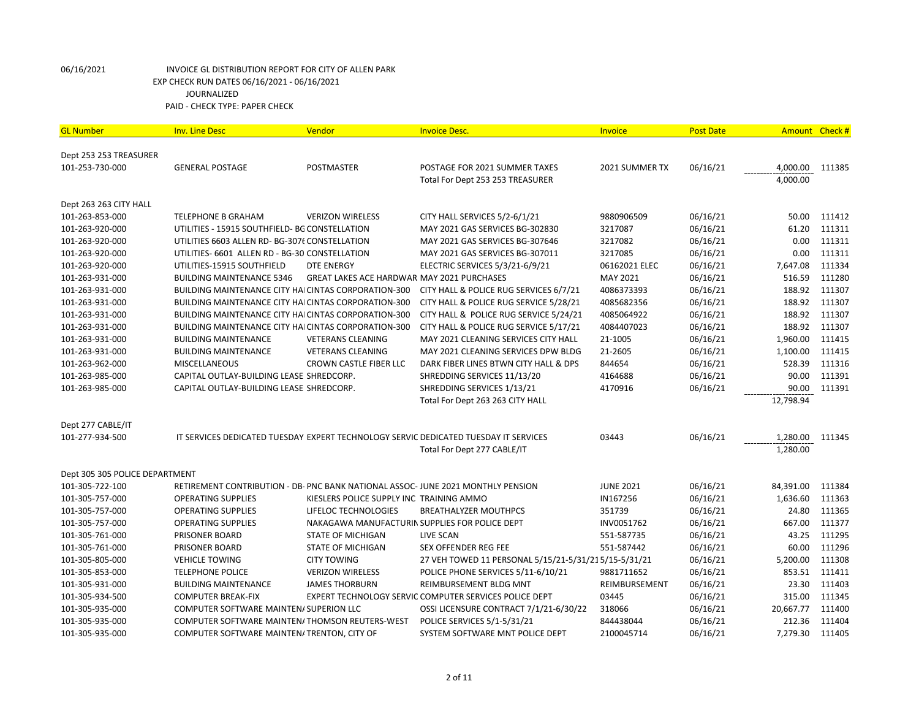| <b>GL Number</b>               | <b>Inv. Line Desc</b>                                                           | Vendor                                     | <b>Invoice Desc.</b>                                                                 | Invoice          | <b>Post Date</b> | Amount Check # |        |
|--------------------------------|---------------------------------------------------------------------------------|--------------------------------------------|--------------------------------------------------------------------------------------|------------------|------------------|----------------|--------|
|                                |                                                                                 |                                            |                                                                                      |                  |                  |                |        |
| Dept 253 253 TREASURER         |                                                                                 |                                            |                                                                                      |                  |                  |                |        |
| 101-253-730-000                | <b>GENERAL POSTAGE</b>                                                          | <b>POSTMASTER</b>                          | POSTAGE FOR 2021 SUMMER TAXES                                                        | 2021 SUMMER TX   | 06/16/21         | 4,000.00       | 111385 |
|                                |                                                                                 |                                            | Total For Dept 253 253 TREASURER                                                     |                  |                  | 4,000.00       |        |
| Dept 263 263 CITY HALL         |                                                                                 |                                            |                                                                                      |                  |                  |                |        |
| 101-263-853-000                | <b>TELEPHONE B GRAHAM</b>                                                       | <b>VERIZON WIRELESS</b>                    | CITY HALL SERVICES 5/2-6/1/21                                                        | 9880906509       | 06/16/21         | 50.00          | 111412 |
| 101-263-920-000                | UTILITIES - 15915 SOUTHFIELD- BG CONSTELLATION                                  |                                            | MAY 2021 GAS SERVICES BG-302830                                                      | 3217087          | 06/16/21         | 61.20          | 111311 |
| 101-263-920-000                | UTILITIES 6603 ALLEN RD- BG-3076 CONSTELLATION                                  |                                            | MAY 2021 GAS SERVICES BG-307646                                                      | 3217082          | 06/16/21         | 0.00           | 111311 |
| 101-263-920-000                | UTILITIES- 6601 ALLEN RD - BG-30 CONSTELLATION                                  |                                            | MAY 2021 GAS SERVICES BG-307011                                                      | 3217085          | 06/16/21         | 0.00           | 111311 |
| 101-263-920-000                | UTILITIES-15915 SOUTHFIELD                                                      | <b>DTE ENERGY</b>                          | ELECTRIC SERVICES 5/3/21-6/9/21                                                      | 06162021 ELEC    | 06/16/21         | 7,647.08       | 111334 |
| 101-263-931-000                | <b>BUILDING MAINTENANCE 5346</b>                                                | GREAT LAKES ACE HARDWAR MAY 2021 PURCHASES |                                                                                      | MAY 2021         | 06/16/21         | 516.59         | 111280 |
| 101-263-931-000                | BUILDING MAINTENANCE CITY HAI CINTAS CORPORATION-300                            |                                            | CITY HALL & POLICE RUG SERVICES 6/7/21                                               | 4086373393       | 06/16/21         | 188.92         | 111307 |
| 101-263-931-000                | BUILDING MAINTENANCE CITY HAI CINTAS CORPORATION-300                            |                                            | CITY HALL & POLICE RUG SERVICE 5/28/21                                               | 4085682356       | 06/16/21         | 188.92         | 111307 |
| 101-263-931-000                | BUILDING MAINTENANCE CITY HAI CINTAS CORPORATION-300                            |                                            | CITY HALL & POLICE RUG SERVICE 5/24/21                                               | 4085064922       | 06/16/21         | 188.92         | 111307 |
| 101-263-931-000                | BUILDING MAINTENANCE CITY HAI CINTAS CORPORATION-300                            |                                            | CITY HALL & POLICE RUG SERVICE 5/17/21                                               | 4084407023       | 06/16/21         | 188.92         | 111307 |
| 101-263-931-000                | <b>BUILDING MAINTENANCE</b>                                                     | <b>VETERANS CLEANING</b>                   | MAY 2021 CLEANING SERVICES CITY HALL                                                 | 21-1005          | 06/16/21         | 1,960.00       | 111415 |
| 101-263-931-000                | <b>BUILDING MAINTENANCE</b>                                                     | <b>VETERANS CLEANING</b>                   | MAY 2021 CLEANING SERVICES DPW BLDG                                                  | 21-2605          | 06/16/21         | 1,100.00       | 111415 |
| 101-263-962-000                | <b>MISCELLANEOUS</b>                                                            | CROWN CASTLE FIBER LLC                     | DARK FIBER LINES BTWN CITY HALL & DPS                                                | 844654           | 06/16/21         | 528.39         | 111316 |
| 101-263-985-000                | CAPITAL OUTLAY-BUILDING LEASE SHREDCORP.                                        |                                            | SHREDDING SERVICES 11/13/20                                                          | 4164688          | 06/16/21         | 90.00          | 111391 |
| 101-263-985-000                | CAPITAL OUTLAY-BUILDING LEASE SHREDCORP.                                        |                                            | SHREDDING SERVICES 1/13/21                                                           | 4170916          | 06/16/21         | 90.00          | 111391 |
|                                |                                                                                 |                                            | Total For Dept 263 263 CITY HALL                                                     |                  |                  | 12,798.94      |        |
| Dept 277 CABLE/IT              |                                                                                 |                                            |                                                                                      |                  |                  |                |        |
| 101-277-934-500                |                                                                                 |                                            | IT SERVICES DEDICATED TUESDAY EXPERT TECHNOLOGY SERVIC DEDICATED TUESDAY IT SERVICES | 03443            | 06/16/21         | 1,280.00       | 111345 |
|                                |                                                                                 |                                            | Total For Dept 277 CABLE/IT                                                          |                  |                  | 1,280.00       |        |
| Dept 305 305 POLICE DEPARTMENT |                                                                                 |                                            |                                                                                      |                  |                  |                |        |
| 101-305-722-100                | RETIREMENT CONTRIBUTION - DB- PNC BANK NATIONAL ASSOC-JUNE 2021 MONTHLY PENSION |                                            |                                                                                      | <b>JUNE 2021</b> | 06/16/21         | 84,391.00      | 111384 |
| 101-305-757-000                | <b>OPERATING SUPPLIES</b>                                                       | KIESLERS POLICE SUPPLY INC TRAINING AMMO   |                                                                                      | IN167256         | 06/16/21         | 1,636.60       | 111363 |
| 101-305-757-000                | <b>OPERATING SUPPLIES</b>                                                       | LIFELOC TECHNOLOGIES                       | <b>BREATHALYZER MOUTHPCS</b>                                                         | 351739           | 06/16/21         | 24.80          | 111365 |
| 101-305-757-000                | <b>OPERATING SUPPLIES</b>                                                       |                                            | NAKAGAWA MANUFACTURIN SUPPLIES FOR POLICE DEPT                                       | INV0051762       | 06/16/21         | 667.00         | 111377 |
| 101-305-761-000                | PRISONER BOARD                                                                  | <b>STATE OF MICHIGAN</b>                   | LIVE SCAN                                                                            | 551-587735       | 06/16/21         | 43.25          | 111295 |
| 101-305-761-000                | <b>PRISONER BOARD</b>                                                           | <b>STATE OF MICHIGAN</b>                   | <b>SEX OFFENDER REG FEE</b>                                                          | 551-587442       | 06/16/21         | 60.00          | 111296 |
| 101-305-805-000                | <b>VEHICLE TOWING</b>                                                           | <b>CITY TOWING</b>                         | 27 VEH TOWED 11 PERSONAL 5/15/21-5/31/215/15-5/31/21                                 |                  | 06/16/21         | 5,200.00       | 111308 |
| 101-305-853-000                | <b>TELEPHONE POLICE</b>                                                         | <b>VERIZON WIRELESS</b>                    | POLICE PHONE SERVICES 5/11-6/10/21                                                   | 9881711652       | 06/16/21         | 853.51         | 111411 |
| 101-305-931-000                | <b>BUILDING MAINTENANCE</b>                                                     | <b>JAMES THORBURN</b>                      | REIMBURSEMENT BLDG MNT                                                               | REIMBURSEMENT    | 06/16/21         | 23.30          | 111403 |
| 101-305-934-500                | <b>COMPUTER BREAK-FIX</b>                                                       |                                            | EXPERT TECHNOLOGY SERVIC COMPUTER SERVICES POLICE DEPT                               | 03445            | 06/16/21         | 315.00         | 111345 |
| 101-305-935-000                | COMPUTER SOFTWARE MAINTEN/ SUPERION LLC                                         |                                            | OSSI LICENSURE CONTRACT 7/1/21-6/30/22                                               | 318066           | 06/16/21         | 20,667.77      | 111400 |
| 101-305-935-000                | COMPUTER SOFTWARE MAINTEN/THOMSON REUTERS-WEST                                  |                                            | POLICE SERVICES 5/1-5/31/21                                                          | 844438044        | 06/16/21         | 212.36         | 111404 |
| 101-305-935-000                | COMPUTER SOFTWARE MAINTEN/ TRENTON, CITY OF                                     |                                            | SYSTEM SOFTWARE MNT POLICE DEPT                                                      | 2100045714       | 06/16/21         | 7,279.30       | 111405 |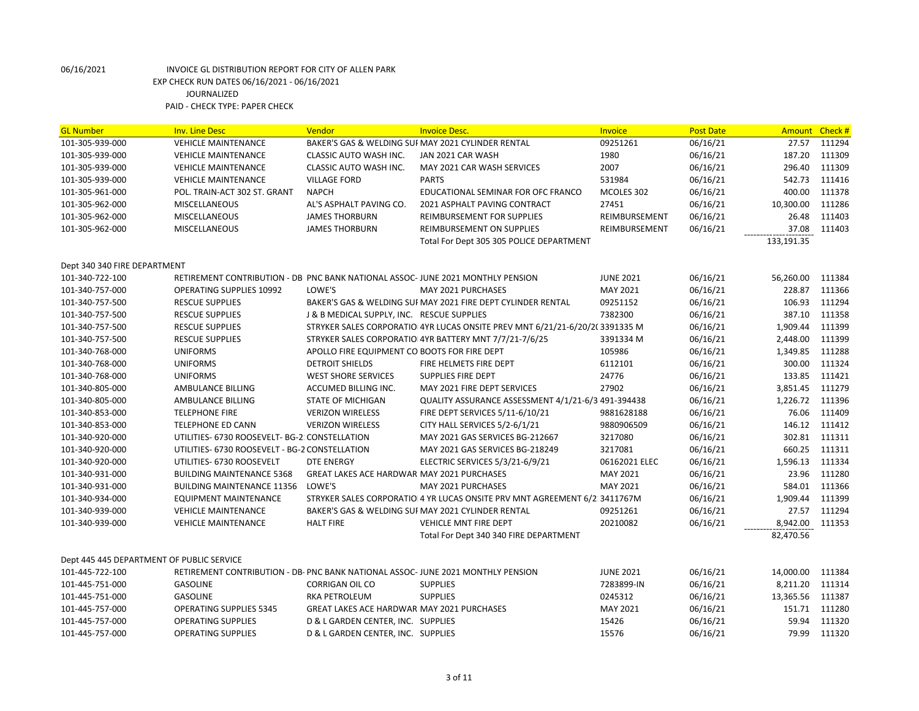| <b>GL Number</b>                          | <b>Inv. Line Desc</b>                                                            | Vendor                                            | <b>Invoice Desc.</b>                                                        | Invoice          | <b>Post Date</b> | Amount Check# |        |
|-------------------------------------------|----------------------------------------------------------------------------------|---------------------------------------------------|-----------------------------------------------------------------------------|------------------|------------------|---------------|--------|
| 101-305-939-000                           | <b>VEHICLE MAINTENANCE</b>                                                       |                                                   | BAKER'S GAS & WELDING SUI MAY 2021 CYLINDER RENTAL                          | 09251261         | 06/16/21         | 27.57         | 111294 |
| 101-305-939-000                           | <b>VEHICLE MAINTENANCE</b>                                                       | CLASSIC AUTO WASH INC.                            | JAN 2021 CAR WASH                                                           | 1980             | 06/16/21         | 187.20        | 111309 |
| 101-305-939-000                           | <b>VEHICLE MAINTENANCE</b>                                                       | <b>CLASSIC AUTO WASH INC.</b>                     | MAY 2021 CAR WASH SERVICES                                                  | 2007             | 06/16/21         | 296.40        | 111309 |
| 101-305-939-000                           | <b>VEHICLE MAINTENANCE</b>                                                       | <b>VILLAGE FORD</b>                               | <b>PARTS</b>                                                                | 531984           | 06/16/21         | 542.73        | 111416 |
| 101-305-961-000                           | POL. TRAIN-ACT 302 ST. GRANT                                                     | <b>NAPCH</b>                                      | EDUCATIONAL SEMINAR FOR OFC FRANCO                                          | MCOLES 302       | 06/16/21         | 400.00        | 111378 |
| 101-305-962-000                           | <b>MISCELLANEOUS</b>                                                             | AL'S ASPHALT PAVING CO.                           | 2021 ASPHALT PAVING CONTRACT                                                | 27451            | 06/16/21         | 10,300.00     | 111286 |
| 101-305-962-000                           | <b>MISCELLANEOUS</b>                                                             | <b>JAMES THORBURN</b>                             | REIMBURSEMENT FOR SUPPLIES                                                  | REIMBURSEMENT    | 06/16/21         | 26.48         | 111403 |
| 101-305-962-000                           | <b>MISCELLANEOUS</b>                                                             | <b>JAMES THORBURN</b>                             | REIMBURSEMENT ON SUPPLIES                                                   | REIMBURSEMENT    | 06/16/21         | 37.08         | 111403 |
|                                           |                                                                                  |                                                   | Total For Dept 305 305 POLICE DEPARTMENT                                    |                  |                  | 133,191.35    |        |
|                                           |                                                                                  |                                                   |                                                                             |                  |                  |               |        |
| Dept 340 340 FIRE DEPARTMENT              |                                                                                  |                                                   |                                                                             |                  |                  |               |        |
| 101-340-722-100                           | RETIREMENT CONTRIBUTION - DB PNC BANK NATIONAL ASSOC- JUNE 2021 MONTHLY PENSION  |                                                   |                                                                             | <b>JUNE 2021</b> | 06/16/21         | 56,260.00     | 111384 |
| 101-340-757-000                           | <b>OPERATING SUPPLIES 10992</b>                                                  | LOWE'S                                            | MAY 2021 PURCHASES                                                          | MAY 2021         | 06/16/21         | 228.87        | 111366 |
| 101-340-757-500                           | <b>RESCUE SUPPLIES</b>                                                           |                                                   | BAKER'S GAS & WELDING SUI MAY 2021 FIRE DEPT CYLINDER RENTAL                | 09251152         | 06/16/21         | 106.93        | 111294 |
| 101-340-757-500                           | <b>RESCUE SUPPLIES</b>                                                           | J & B MEDICAL SUPPLY, INC. RESCUE SUPPLIES        |                                                                             | 7382300          | 06/16/21         | 387.10        | 111358 |
| 101-340-757-500                           | <b>RESCUE SUPPLIES</b>                                                           |                                                   | STRYKER SALES CORPORATIO 4YR LUCAS ONSITE PREV MNT 6/21/21-6/20/2(3391335 M |                  | 06/16/21         | 1,909.44      | 111399 |
| 101-340-757-500                           | <b>RESCUE SUPPLIES</b>                                                           |                                                   | STRYKER SALES CORPORATIO 4YR BATTERY MNT 7/7/21-7/6/25                      | 3391334 M        | 06/16/21         | 2,448.00      | 111399 |
| 101-340-768-000                           | <b>UNIFORMS</b>                                                                  | APOLLO FIRE EQUIPMENT CO BOOTS FOR FIRE DEPT      |                                                                             | 105986           | 06/16/21         | 1,349.85      | 111288 |
| 101-340-768-000                           | <b>UNIFORMS</b>                                                                  | <b>DETROIT SHIELDS</b>                            | FIRE HELMETS FIRE DEPT                                                      | 6112101          | 06/16/21         | 300.00        | 111324 |
| 101-340-768-000                           | <b>UNIFORMS</b>                                                                  | <b>WEST SHORE SERVICES</b>                        | SUPPLIES FIRE DEPT                                                          | 24776            | 06/16/21         | 133.85        | 111421 |
| 101-340-805-000                           | AMBULANCE BILLING                                                                | ACCUMED BILLING INC.                              | MAY 2021 FIRE DEPT SERVICES                                                 | 27902            | 06/16/21         | 3,851.45      | 111279 |
| 101-340-805-000                           | AMBULANCE BILLING                                                                | <b>STATE OF MICHIGAN</b>                          | QUALITY ASSURANCE ASSESSMENT 4/1/21-6/3 491-394438                          |                  | 06/16/21         | 1,226.72      | 111396 |
| 101-340-853-000                           | <b>TELEPHONE FIRE</b>                                                            | <b>VERIZON WIRELESS</b>                           | FIRE DEPT SERVICES 5/11-6/10/21                                             | 9881628188       | 06/16/21         | 76.06         | 111409 |
| 101-340-853-000                           | <b>TELEPHONE ED CANN</b>                                                         | <b>VERIZON WIRELESS</b>                           | CITY HALL SERVICES 5/2-6/1/21                                               | 9880906509       | 06/16/21         | 146.12        | 111412 |
| 101-340-920-000                           | UTILITIES- 6730 ROOSEVELT- BG-2: CONSTELLATION                                   |                                                   | MAY 2021 GAS SERVICES BG-212667                                             | 3217080          | 06/16/21         | 302.81        | 111311 |
| 101-340-920-000                           | UTILITIES- 6730 ROOSEVELT - BG-2 CONSTELLATION                                   |                                                   | MAY 2021 GAS SERVICES BG-218249                                             | 3217081          | 06/16/21         | 660.25        | 111311 |
| 101-340-920-000                           | UTILITIES- 6730 ROOSEVELT                                                        | <b>DTE ENERGY</b>                                 | ELECTRIC SERVICES 5/3/21-6/9/21                                             | 06162021 ELEC    | 06/16/21         | 1,596.13      | 111334 |
| 101-340-931-000                           | <b>BUILDING MAINTENANCE 5368</b>                                                 | <b>GREAT LAKES ACE HARDWAR MAY 2021 PURCHASES</b> |                                                                             | MAY 2021         | 06/16/21         | 23.96         | 111280 |
| 101-340-931-000                           | <b>BUILDING MAINTENANCE 11356</b>                                                | LOWE'S                                            | MAY 2021 PURCHASES                                                          | MAY 2021         | 06/16/21         | 584.01        | 111366 |
| 101-340-934-000                           | <b>EQUIPMENT MAINTENANCE</b>                                                     |                                                   | STRYKER SALES CORPORATIO 4 YR LUCAS ONSITE PRV MNT AGREEMENT 6/2:3411767M   |                  | 06/16/21         | 1,909.44      | 111399 |
| 101-340-939-000                           | <b>VEHICLE MAINTENANCE</b>                                                       |                                                   | BAKER'S GAS & WELDING SUI MAY 2021 CYLINDER RENTAL                          | 09251261         | 06/16/21         | 27.57         | 111294 |
| 101-340-939-000                           | <b>VEHICLE MAINTENANCE</b>                                                       | <b>HALT FIRE</b>                                  | VEHICLE MNT FIRE DEPT                                                       | 20210082         | 06/16/21         | 8,942.00      | 111353 |
|                                           |                                                                                  |                                                   | Total For Dept 340 340 FIRE DEPARTMENT                                      |                  |                  | 82,470.56     |        |
|                                           |                                                                                  |                                                   |                                                                             |                  |                  |               |        |
| Dept 445 445 DEPARTMENT OF PUBLIC SERVICE |                                                                                  |                                                   |                                                                             |                  |                  |               |        |
| 101-445-722-100                           | RETIREMENT CONTRIBUTION - DB- PNC BANK NATIONAL ASSOC- JUNE 2021 MONTHLY PENSION |                                                   |                                                                             | <b>JUNE 2021</b> | 06/16/21         | 14,000.00     | 111384 |
| 101-445-751-000                           | <b>GASOLINE</b>                                                                  | <b>CORRIGAN OIL CO</b>                            | <b>SUPPLIES</b>                                                             | 7283899-IN       | 06/16/21         | 8,211.20      | 111314 |
| 101-445-751-000                           | <b>GASOLINE</b>                                                                  | <b>RKA PETROLEUM</b>                              | <b>SUPPLIES</b>                                                             | 0245312          | 06/16/21         | 13,365.56     | 111387 |
| 101-445-757-000                           | <b>OPERATING SUPPLIES 5345</b>                                                   | GREAT LAKES ACE HARDWAR MAY 2021 PURCHASES        |                                                                             | MAY 2021         | 06/16/21         | 151.71        | 111280 |
| 101-445-757-000                           | <b>OPERATING SUPPLIES</b>                                                        | D & L GARDEN CENTER, INC. SUPPLIES                |                                                                             | 15426            | 06/16/21         | 59.94         | 111320 |
| 101-445-757-000                           | <b>OPERATING SUPPLIES</b>                                                        | D & L GARDEN CENTER, INC. SUPPLIES                |                                                                             | 15576            | 06/16/21         | 79.99         | 111320 |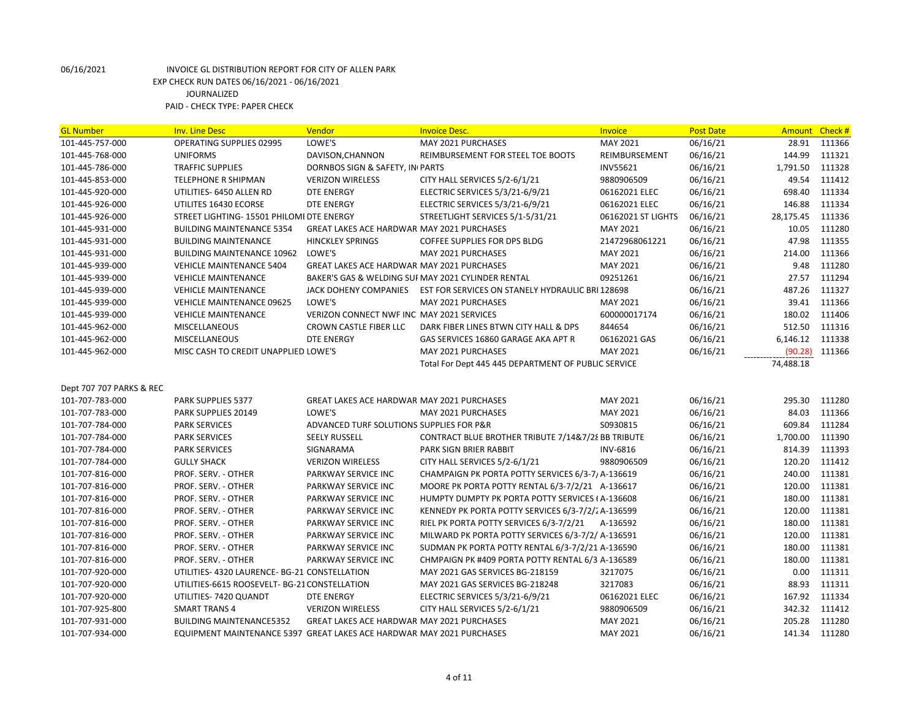| <b>GL Number</b>         | <b>Inv. Line Desc</b>                                                 | Vendor                                            | <b>Invoice Desc.</b>                                | Invoice            | <b>Post Date</b> | Amount    | Check# |
|--------------------------|-----------------------------------------------------------------------|---------------------------------------------------|-----------------------------------------------------|--------------------|------------------|-----------|--------|
| 101-445-757-000          | OPERATING SUPPLIES 02995                                              | LOWE'S                                            | MAY 2021 PURCHASES                                  | MAY 2021           | 06/16/21         | 28.91     | 111366 |
| 101-445-768-000          | <b>UNIFORMS</b>                                                       | DAVISON, CHANNON                                  | REIMBURSEMENT FOR STEEL TOE BOOTS                   | REIMBURSEMENT      | 06/16/21         | 144.99    | 111321 |
| 101-445-786-000          | <b>TRAFFIC SUPPLIES</b>                                               | DORNBOS SIGN & SAFETY, IN PARTS                   |                                                     | <b>INV55621</b>    | 06/16/21         | 1,791.50  | 111328 |
| 101-445-853-000          | TELEPHONE R SHIPMAN                                                   | <b>VERIZON WIRELESS</b>                           | CITY HALL SERVICES 5/2-6/1/21                       | 9880906509         | 06/16/21         | 49.54     | 111412 |
| 101-445-920-000          | UTILITIES- 6450 ALLEN RD                                              | <b>DTE ENERGY</b>                                 | ELECTRIC SERVICES 5/3/21-6/9/21                     | 06162021 ELEC      | 06/16/21         | 698.40    | 111334 |
| 101-445-926-000          | UTILITES 16430 ECORSE                                                 | <b>DTE ENERGY</b>                                 | ELECTRIC SERVICES 5/3/21-6/9/21                     | 06162021 ELEC      | 06/16/21         | 146.88    | 111334 |
| 101-445-926-000          | STREET LIGHTING- 15501 PHILOMI DTE ENERGY                             |                                                   | STREETLIGHT SERVICES 5/1-5/31/21                    | 06162021 ST LIGHTS | 06/16/21         | 28,175.45 | 111336 |
| 101-445-931-000          | <b>BUILDING MAINTENANCE 5354</b>                                      | <b>GREAT LAKES ACE HARDWAR MAY 2021 PURCHASES</b> |                                                     | MAY 2021           | 06/16/21         | 10.05     | 111280 |
| 101-445-931-000          | <b>BUILDING MAINTENANCE</b>                                           | <b>HINCKLEY SPRINGS</b>                           | COFFEE SUPPLIES FOR DPS BLDG                        | 21472968061221     | 06/16/21         | 47.98     | 111355 |
| 101-445-931-000          | <b>BUILDING MAINTENANCE 10962</b>                                     | LOWE'S                                            | MAY 2021 PURCHASES                                  | MAY 2021           | 06/16/21         | 214.00    | 111366 |
| 101-445-939-000          | <b>VEHICLE MAINTENANCE 5404</b>                                       | GREAT LAKES ACE HARDWAR MAY 2021 PURCHASES        |                                                     | MAY 2021           | 06/16/21         | 9.48      | 111280 |
| 101-445-939-000          | <b>VEHICLE MAINTENANCE</b>                                            |                                                   | BAKER'S GAS & WELDING SUI MAY 2021 CYLINDER RENTAL  | 09251261           | 06/16/21         | 27.57     | 111294 |
| 101-445-939-000          | <b>VEHICLE MAINTENANCE</b>                                            | JACK DOHENY COMPANIES                             | EST FOR SERVICES ON STANELY HYDRAULIC BRI 128698    |                    | 06/16/21         | 487.26    | 111327 |
| 101-445-939-000          | <b>VEHICLE MAINTENANCE 09625</b>                                      | LOWE'S                                            | MAY 2021 PURCHASES                                  | MAY 2021           | 06/16/21         | 39.41     | 111366 |
| 101-445-939-000          | <b>VEHICLE MAINTENANCE</b>                                            | VERIZON CONNECT NWF INC MAY 2021 SERVICES         |                                                     | 600000017174       | 06/16/21         | 180.02    | 111406 |
| 101-445-962-000          | <b>MISCELLANEOUS</b>                                                  | CROWN CASTLE FIBER LLC                            | DARK FIBER LINES BTWN CITY HALL & DPS               | 844654             | 06/16/21         | 512.50    | 111316 |
| 101-445-962-000          | <b>MISCELLANEOUS</b>                                                  | <b>DTE ENERGY</b>                                 | GAS SERVICES 16860 GARAGE AKA APT R                 | 06162021 GAS       | 06/16/21         | 6,146.12  | 111338 |
| 101-445-962-000          | MISC CASH TO CREDIT UNAPPLIED LOWE'S                                  |                                                   | MAY 2021 PURCHASES                                  | MAY 2021           | 06/16/21         | (90.28)   | 111366 |
|                          |                                                                       |                                                   | Total For Dept 445 445 DEPARTMENT OF PUBLIC SERVICE |                    |                  | 74,488.18 |        |
|                          |                                                                       |                                                   |                                                     |                    |                  |           |        |
| Dept 707 707 PARKS & REC |                                                                       |                                                   |                                                     |                    |                  |           |        |
| 101-707-783-000          | PARK SUPPLIES 5377                                                    | <b>GREAT LAKES ACE HARDWAR MAY 2021 PURCHASES</b> |                                                     | MAY 2021           | 06/16/21         | 295.30    | 111280 |
| 101-707-783-000          | PARK SUPPLIES 20149                                                   | LOWE'S                                            | MAY 2021 PURCHASES                                  | MAY 2021           | 06/16/21         | 84.03     | 111366 |
| 101-707-784-000          | <b>PARK SERVICES</b>                                                  | ADVANCED TURF SOLUTIONS SUPPLIES FOR P&R          |                                                     | S0930815           | 06/16/21         | 609.84    | 111284 |
| 101-707-784-000          | <b>PARK SERVICES</b>                                                  | <b>SEELY RUSSELL</b>                              | CONTRACT BLUE BROTHER TRIBUTE 7/14&7/28 BB TRIBUTE  |                    | 06/16/21         | 1,700.00  | 111390 |
| 101-707-784-000          | <b>PARK SERVICES</b>                                                  | SIGNARAMA                                         | PARK SIGN BRIER RABBIT                              | <b>INV-6816</b>    | 06/16/21         | 814.39    | 111393 |
| 101-707-784-000          | <b>GULLY SHACK</b>                                                    | <b>VERIZON WIRELESS</b>                           | CITY HALL SERVICES 5/2-6/1/21                       | 9880906509         | 06/16/21         | 120.20    | 111412 |
| 101-707-816-000          | PROF. SERV. - OTHER                                                   | <b>PARKWAY SERVICE INC</b>                        | CHAMPAIGN PK PORTA POTTY SERVICES 6/3-7/A-136619    |                    | 06/16/21         | 240.00    | 111381 |
| 101-707-816-000          | PROF. SERV. - OTHER                                                   | PARKWAY SERVICE INC                               | MOORE PK PORTA POTTY RENTAL 6/3-7/2/21 A-136617     |                    | 06/16/21         | 120.00    | 111381 |
| 101-707-816-000          | PROF. SERV. - OTHER                                                   | PARKWAY SERVICE INC                               | HUMPTY DUMPTY PK PORTA POTTY SERVICES (A-136608     |                    | 06/16/21         | 180.00    | 111381 |
| 101-707-816-000          | PROF. SERV. - OTHER                                                   | PARKWAY SERVICE INC                               | KENNEDY PK PORTA POTTY SERVICES 6/3-7/2/2A-136599   |                    | 06/16/21         | 120.00    | 111381 |
| 101-707-816-000          | PROF. SERV. - OTHER                                                   | PARKWAY SERVICE INC                               | RIEL PK PORTA POTTY SERVICES 6/3-7/2/21             | A-136592           | 06/16/21         | 180.00    | 111381 |
| 101-707-816-000          | PROF. SERV. - OTHER                                                   | PARKWAY SERVICE INC                               | MILWARD PK PORTA POTTY SERVICES 6/3-7/2/ A-136591   |                    | 06/16/21         | 120.00    | 111381 |
| 101-707-816-000          | PROF. SERV. - OTHER                                                   | PARKWAY SERVICE INC                               | SUDMAN PK PORTA POTTY RENTAL 6/3-7/2/21 A-136590    |                    | 06/16/21         | 180.00    | 111381 |
| 101-707-816-000          | PROF. SERV. - OTHER                                                   | <b>PARKWAY SERVICE INC</b>                        | CHMPAIGN PK #409 PORTA POTTY RENTAL 6/3 A-136589    |                    | 06/16/21         | 180.00    | 111381 |
| 101-707-920-000          | UTILITIES- 4320 LAURENCE- BG-21 CONSTELLATION                         |                                                   | MAY 2021 GAS SERVICES BG-218159                     | 3217075            | 06/16/21         | 0.00      | 111311 |
| 101-707-920-000          | UTILITIES-6615 ROOSEVELT- BG-21 CONSTELLATION                         |                                                   | MAY 2021 GAS SERVICES BG-218248                     | 3217083            | 06/16/21         | 88.93     | 111311 |
| 101-707-920-000          | UTILITIES-7420 QUANDT                                                 | DTE ENERGY                                        | ELECTRIC SERVICES 5/3/21-6/9/21                     | 06162021 ELEC      | 06/16/21         | 167.92    | 111334 |
| 101-707-925-800          | <b>SMART TRANS 4</b>                                                  | <b>VERIZON WIRELESS</b>                           | CITY HALL SERVICES 5/2-6/1/21                       | 9880906509         | 06/16/21         | 342.32    | 111412 |
| 101-707-931-000          | <b>BUILDING MAINTENANCE5352</b>                                       | GREAT LAKES ACE HARDWAR MAY 2021 PURCHASES        |                                                     | MAY 2021           | 06/16/21         | 205.28    | 111280 |
| 101-707-934-000          | EQUIPMENT MAINTENANCE 5397 GREAT LAKES ACE HARDWAR MAY 2021 PURCHASES |                                                   |                                                     | MAY 2021           | 06/16/21         | 141.34    | 111280 |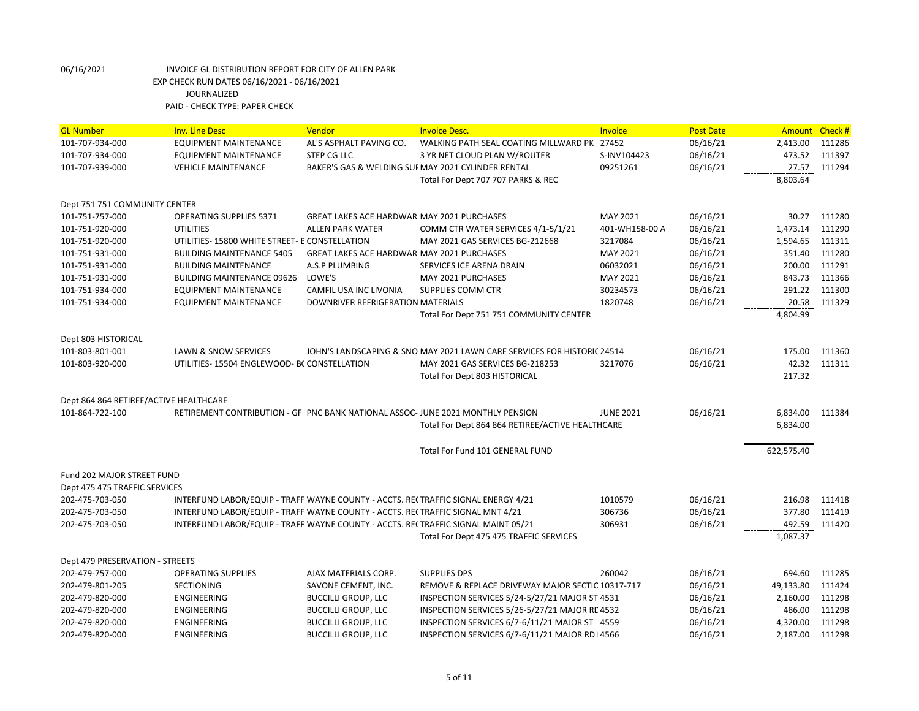| <b>GL Number</b>                       | <b>Inv. Line Desc</b>                                                              | Vendor                                            | <b>Invoice Desc.</b>                                                    | <b>Invoice</b>   | <b>Post Date</b> | Amount     | Check# |
|----------------------------------------|------------------------------------------------------------------------------------|---------------------------------------------------|-------------------------------------------------------------------------|------------------|------------------|------------|--------|
| 101-707-934-000                        | <b>EQUIPMENT MAINTENANCE</b>                                                       | AL'S ASPHALT PAVING CO.                           | WALKING PATH SEAL COATING MILLWARD PK 27452                             |                  | 06/16/21         | 2,413.00   | 111286 |
| 101-707-934-000                        | <b>EQUIPMENT MAINTENANCE</b>                                                       | <b>STEP CG LLC</b>                                | 3 YR NET CLOUD PLAN W/ROUTER                                            | S-INV104423      | 06/16/21         | 473.52     | 111397 |
| 101-707-939-000                        | <b>VEHICLE MAINTENANCE</b>                                                         |                                                   | BAKER'S GAS & WELDING SUI MAY 2021 CYLINDER RENTAL                      | 09251261         | 06/16/21         | 27.57      | 111294 |
|                                        |                                                                                    |                                                   | Total For Dept 707 707 PARKS & REC                                      |                  |                  | 8,803.64   |        |
| Dept 751 751 COMMUNITY CENTER          |                                                                                    |                                                   |                                                                         |                  |                  |            |        |
| 101-751-757-000                        | <b>OPERATING SUPPLIES 5371</b>                                                     | <b>GREAT LAKES ACE HARDWAR MAY 2021 PURCHASES</b> |                                                                         | MAY 2021         | 06/16/21         | 30.27      | 111280 |
| 101-751-920-000                        | <b>UTILITIES</b>                                                                   | <b>ALLEN PARK WATER</b>                           | COMM CTR WATER SERVICES 4/1-5/1/21                                      | 401-WH158-00 A   | 06/16/21         | 1,473.14   | 111290 |
| 101-751-920-000                        | UTILITIES-15800 WHITE STREET- B CONSTELLATION                                      |                                                   | MAY 2021 GAS SERVICES BG-212668                                         | 3217084          | 06/16/21         | 1,594.65   | 111311 |
| 101-751-931-000                        | <b>BUILDING MAINTENANCE 5405</b>                                                   | <b>GREAT LAKES ACE HARDWAR MAY 2021 PURCHASES</b> |                                                                         | MAY 2021         | 06/16/21         | 351.40     | 111280 |
| 101-751-931-000                        | <b>BUILDING MAINTENANCE</b>                                                        | A.S.P PLUMBING                                    | SERVICES ICE ARENA DRAIN                                                | 06032021         | 06/16/21         | 200.00     | 111291 |
| 101-751-931-000                        | <b>BUILDING MAINTENANCE 09626</b>                                                  | LOWE'S                                            | MAY 2021 PURCHASES                                                      | MAY 2021         | 06/16/21         | 843.73     | 111366 |
| 101-751-934-000                        | <b>EQUIPMENT MAINTENANCE</b>                                                       | CAMFIL USA INC LIVONIA                            | SUPPLIES COMM CTR                                                       | 30234573         | 06/16/21         | 291.22     | 111300 |
| 101-751-934-000                        | <b>EQUIPMENT MAINTENANCE</b>                                                       | DOWNRIVER REFRIGERATION MATERIALS                 |                                                                         | 1820748          | 06/16/21         | 20.58      | 111329 |
|                                        |                                                                                    |                                                   | Total For Dept 751 751 COMMUNITY CENTER                                 |                  |                  | 4,804.99   |        |
| Dept 803 HISTORICAL                    |                                                                                    |                                                   |                                                                         |                  |                  |            |        |
| 101-803-801-001                        | <b>LAWN &amp; SNOW SERVICES</b>                                                    |                                                   | JOHN'S LANDSCAPING & SNO MAY 2021 LAWN CARE SERVICES FOR HISTORIC 24514 |                  | 06/16/21         | 175.00     | 111360 |
| 101-803-920-000                        | UTILITIES-15504 ENGLEWOOD- BC CONSTELLATION                                        |                                                   | MAY 2021 GAS SERVICES BG-218253                                         | 3217076          | 06/16/21         | 42.32      | 111311 |
|                                        |                                                                                    |                                                   | <b>Total For Dept 803 HISTORICAL</b>                                    |                  |                  | 217.32     |        |
| Dept 864 864 RETIREE/ACTIVE HEALTHCARE |                                                                                    |                                                   |                                                                         |                  |                  |            |        |
| 101-864-722-100                        | RETIREMENT CONTRIBUTION - GF PNC BANK NATIONAL ASSOC-JUNE 2021 MONTHLY PENSION     |                                                   |                                                                         | <b>JUNE 2021</b> | 06/16/21         | 6,834.00   | 111384 |
|                                        |                                                                                    |                                                   | Total For Dept 864 864 RETIREE/ACTIVE HEALTHCARE                        |                  |                  | 6,834.00   |        |
|                                        |                                                                                    |                                                   | Total For Fund 101 GENERAL FUND                                         |                  |                  | 622,575.40 |        |
| Fund 202 MAJOR STREET FUND             |                                                                                    |                                                   |                                                                         |                  |                  |            |        |
| Dept 475 475 TRAFFIC SERVICES          |                                                                                    |                                                   |                                                                         |                  |                  |            |        |
| 202-475-703-050                        | INTERFUND LABOR/EQUIP - TRAFF WAYNE COUNTY - ACCTS. REI TRAFFIC SIGNAL ENERGY 4/21 |                                                   |                                                                         | 1010579          | 06/16/21         | 216.98     | 111418 |
| 202-475-703-050                        | INTERFUND LABOR/EQUIP - TRAFF WAYNE COUNTY - ACCTS. RECTRAFFIC SIGNAL MNT 4/21     |                                                   |                                                                         | 306736           | 06/16/21         | 377.80     | 111419 |
| 202-475-703-050                        | INTERFUND LABOR/EQUIP - TRAFF WAYNE COUNTY - ACCTS. RE(TRAFFIC SIGNAL MAINT 05/21  |                                                   |                                                                         | 306931           | 06/16/21         | 492.59     | 111420 |
|                                        |                                                                                    |                                                   | Total For Dept 475 475 TRAFFIC SERVICES                                 |                  |                  | 1,087.37   |        |
| Dept 479 PRESERVATION - STREETS        |                                                                                    |                                                   |                                                                         |                  |                  |            |        |
| 202-479-757-000                        | <b>OPERATING SUPPLIES</b>                                                          | AJAX MATERIALS CORP.                              | <b>SUPPLIES DPS</b>                                                     | 260042           | 06/16/21         | 694.60     | 111285 |
| 202-479-801-205                        | <b>SECTIONING</b>                                                                  | SAVONE CEMENT, INC.                               | REMOVE & REPLACE DRIVEWAY MAJOR SECTIC 10317-717                        |                  | 06/16/21         | 49,133.80  | 111424 |
| 202-479-820-000                        | ENGINEERING                                                                        | <b>BUCCILLI GROUP, LLC</b>                        | INSPECTION SERVICES 5/24-5/27/21 MAJOR ST 4531                          |                  | 06/16/21         | 2,160.00   | 111298 |
| 202-479-820-000                        | ENGINEERING                                                                        | <b>BUCCILLI GROUP, LLC</b>                        | INSPECTION SERVICES 5/26-5/27/21 MAJOR RE 4532                          |                  | 06/16/21         | 486.00     | 111298 |
| 202-479-820-000                        | ENGINEERING                                                                        | <b>BUCCILLI GROUP, LLC</b>                        | INSPECTION SERVICES 6/7-6/11/21 MAJOR ST 4559                           |                  | 06/16/21         | 4,320.00   | 111298 |
| 202-479-820-000                        | <b>ENGINEERING</b>                                                                 | <b>BUCCILLI GROUP, LLC</b>                        | INSPECTION SERVICES 6/7-6/11/21 MAJOR RD 14566                          |                  | 06/16/21         | 2,187.00   | 111298 |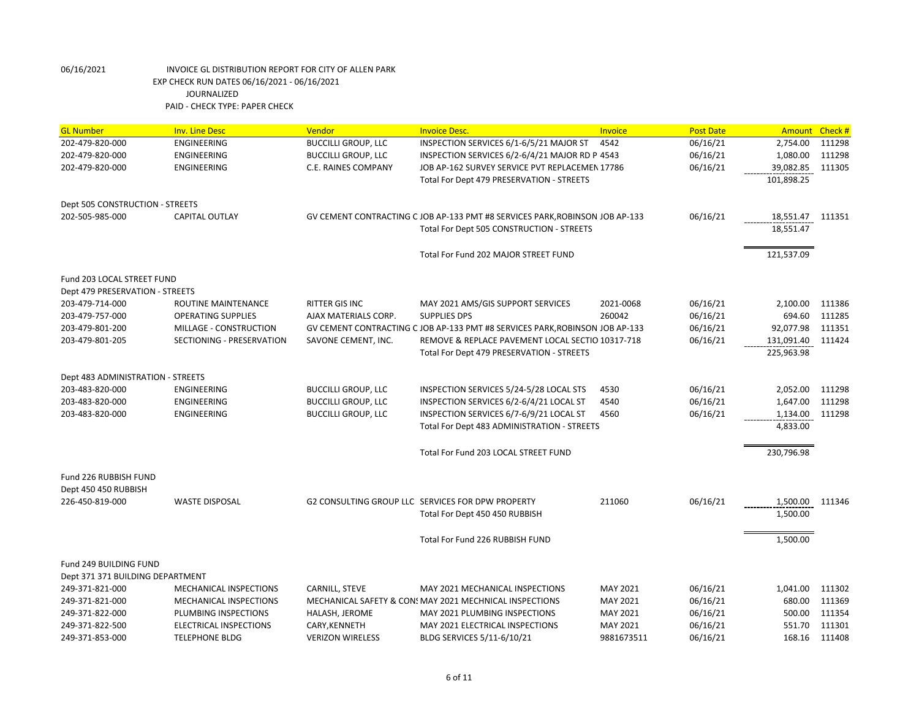| <b>GL Number</b>                  | <b>Inv. Line Desc</b>     | Vendor                     | <b>Invoice Desc.</b>                                                          | Invoice    | <b>Post Date</b> | <b>Amount</b>    | Check# |
|-----------------------------------|---------------------------|----------------------------|-------------------------------------------------------------------------------|------------|------------------|------------------|--------|
| 202-479-820-000                   | <b>ENGINEERING</b>        | <b>BUCCILLI GROUP, LLC</b> | INSPECTION SERVICES 6/1-6/5/21 MAJOR ST                                       | 4542       | 06/16/21         | 2,754.00         | 111298 |
| 202-479-820-000                   | <b>ENGINEERING</b>        | <b>BUCCILLI GROUP, LLC</b> | INSPECTION SERVICES 6/2-6/4/21 MAJOR RD PI4543                                |            | 06/16/21         | 1,080.00         | 111298 |
| 202-479-820-000                   | <b>ENGINEERING</b>        | C.E. RAINES COMPANY        | JOB AP-162 SURVEY SERVICE PVT REPLACEMEN 17786                                |            | 06/16/21         | 39,082.85        | 111305 |
|                                   |                           |                            | Total For Dept 479 PRESERVATION - STREETS                                     |            |                  | 101,898.25       |        |
| Dept 505 CONSTRUCTION - STREETS   |                           |                            |                                                                               |            |                  |                  |        |
| 202-505-985-000                   | <b>CAPITAL OUTLAY</b>     |                            | GV CEMENT CONTRACTING C JOB AP-133 PMT #8 SERVICES PARK, ROBINSON, JOB AP-133 |            | 06/16/21         | 18,551.47 111351 |        |
|                                   |                           |                            | Total For Dept 505 CONSTRUCTION - STREETS                                     |            |                  | 18,551.47        |        |
|                                   |                           |                            | Total For Fund 202 MAJOR STREET FUND                                          |            |                  | 121,537.09       |        |
| Fund 203 LOCAL STREET FUND        |                           |                            |                                                                               |            |                  |                  |        |
| Dept 479 PRESERVATION - STREETS   |                           |                            |                                                                               |            |                  |                  |        |
| 203-479-714-000                   | ROUTINE MAINTENANCE       | <b>RITTER GIS INC</b>      | MAY 2021 AMS/GIS SUPPORT SERVICES                                             | 2021-0068  | 06/16/21         | 2,100.00         | 111386 |
| 203-479-757-000                   | <b>OPERATING SUPPLIES</b> | AJAX MATERIALS CORP.       | <b>SUPPLIES DPS</b>                                                           | 260042     | 06/16/21         | 694.60           | 111285 |
| 203-479-801-200                   | MILLAGE - CONSTRUCTION    |                            | GV CEMENT CONTRACTING C JOB AP-133 PMT #8 SERVICES PARK, ROBINSON, JOB AP-133 |            | 06/16/21         | 92,077.98        | 111351 |
| 203-479-801-205                   | SECTIONING - PRESERVATION | SAVONE CEMENT, INC.        | REMOVE & REPLACE PAVEMENT LOCAL SECTIO 10317-718                              |            | 06/16/21         | 131,091.40       | 111424 |
|                                   |                           |                            | Total For Dept 479 PRESERVATION - STREETS                                     |            |                  | 225,963.98       |        |
| Dept 483 ADMINISTRATION - STREETS |                           |                            |                                                                               |            |                  |                  |        |
| 203-483-820-000                   | <b>ENGINEERING</b>        | <b>BUCCILLI GROUP, LLC</b> | INSPECTION SERVICES 5/24-5/28 LOCAL STS                                       | 4530       | 06/16/21         | 2,052.00         | 111298 |
| 203-483-820-000                   | ENGINEERING               | <b>BUCCILLI GROUP, LLC</b> | INSPECTION SERVICES 6/2-6/4/21 LOCAL ST                                       | 4540       | 06/16/21         | 1,647.00         | 111298 |
| 203-483-820-000                   | <b>ENGINEERING</b>        | <b>BUCCILLI GROUP, LLC</b> | INSPECTION SERVICES 6/7-6/9/21 LOCAL ST                                       | 4560       | 06/16/21         | 1,134.00         | 111298 |
|                                   |                           |                            | Total For Dept 483 ADMINISTRATION - STREETS                                   |            |                  | 4,833.00         |        |
|                                   |                           |                            | Total For Fund 203 LOCAL STREET FUND                                          |            |                  | 230,796.98       |        |
| Fund 226 RUBBISH FUND             |                           |                            |                                                                               |            |                  |                  |        |
| Dept 450 450 RUBBISH              |                           |                            |                                                                               |            |                  |                  |        |
| 226-450-819-000                   | <b>WASTE DISPOSAL</b>     |                            | G2 CONSULTING GROUP LLC SERVICES FOR DPW PROPERTY                             | 211060     | 06/16/21         | 1,500.00         | 111346 |
|                                   |                           |                            | Total For Dept 450 450 RUBBISH                                                |            |                  | 1,500.00         |        |
|                                   |                           |                            | Total For Fund 226 RUBBISH FUND                                               |            |                  | 1,500.00         |        |
| Fund 249 BUILDING FUND            |                           |                            |                                                                               |            |                  |                  |        |
| Dept 371 371 BUILDING DEPARTMENT  |                           |                            |                                                                               |            |                  |                  |        |
| 249-371-821-000                   | MECHANICAL INSPECTIONS    | CARNILL, STEVE             | MAY 2021 MECHANICAL INSPECTIONS                                               | MAY 2021   | 06/16/21         | 1,041.00         | 111302 |
| 249-371-821-000                   | MECHANICAL INSPECTIONS    |                            | MECHANICAL SAFETY & CON: MAY 2021 MECHNICAL INSPECTIONS                       | MAY 2021   | 06/16/21         | 680.00           | 111369 |
| 249-371-822-000                   | PLUMBING INSPECTIONS      | HALASH, JEROME             | MAY 2021 PLUMBING INSPECTIONS                                                 | MAY 2021   | 06/16/21         | 500.00           | 111354 |
| 249-371-822-500                   | ELECTRICAL INSPECTIONS    | CARY, KENNETH              | MAY 2021 ELECTRICAL INSPECTIONS                                               | MAY 2021   | 06/16/21         | 551.70           | 111301 |
| 249-371-853-000                   | <b>TELEPHONE BLDG</b>     | <b>VERIZON WIRELESS</b>    | BLDG SERVICES 5/11-6/10/21                                                    | 9881673511 | 06/16/21         | 168.16           | 111408 |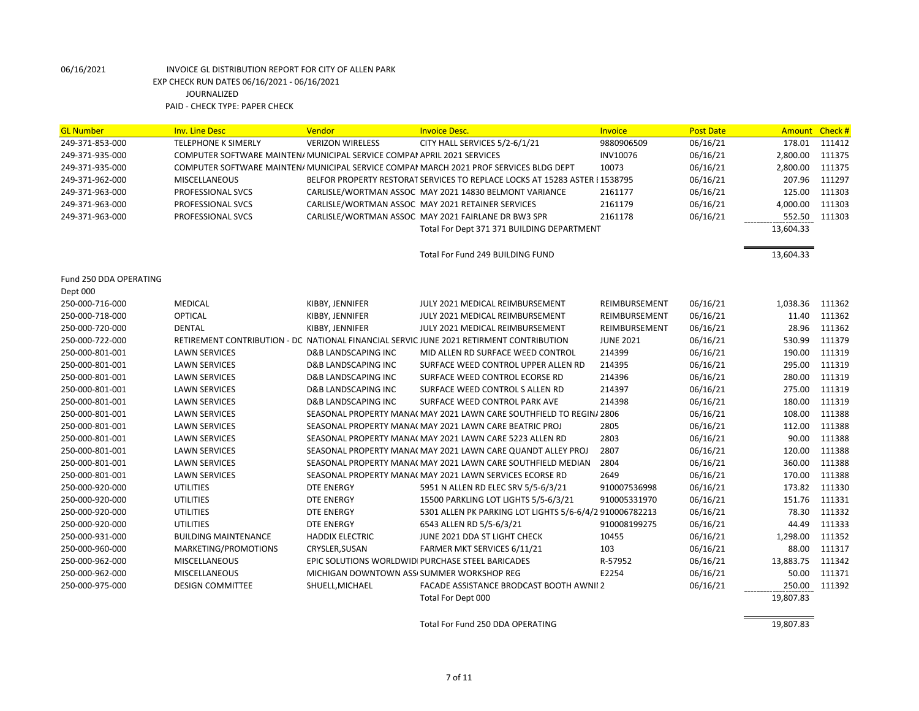| <b>GL Number</b>       | <b>Inv. Line Desc</b>                                                   | Vendor                                    | <b>Invoice Desc.</b>                                                                    | Invoice          | <b>Post Date</b> | Amount Check # |        |
|------------------------|-------------------------------------------------------------------------|-------------------------------------------|-----------------------------------------------------------------------------------------|------------------|------------------|----------------|--------|
| 249-371-853-000        | <b>TELEPHONE K SIMERLY</b>                                              | <b>VERIZON WIRELESS</b>                   | CITY HALL SERVICES 5/2-6/1/21                                                           | 9880906509       | 06/16/21         | 178.01         | 111412 |
| 249-371-935-000        | COMPUTER SOFTWARE MAINTEN/ MUNICIPAL SERVICE COMPAI APRIL 2021 SERVICES |                                           |                                                                                         | INV10076         | 06/16/21         | 2,800.00       | 111375 |
| 249-371-935-000        |                                                                         |                                           | COMPUTER SOFTWARE MAINTEN/ MUNICIPAL SERVICE COMPAI MARCH 2021 PROF SERVICES BLDG DEPT  | 10073            | 06/16/21         | 2,800.00       | 111375 |
| 249-371-962-000        | MISCELLANEOUS                                                           |                                           | BELFOR PROPERTY RESTORAT SERVICES TO REPLACE LOCKS AT 15283 ASTER I 1538795             |                  | 06/16/21         | 207.96         | 111297 |
| 249-371-963-000        | PROFESSIONAL SVCS                                                       |                                           | CARLISLE/WORTMAN ASSOC MAY 2021 14830 BELMONT VARIANCE                                  | 2161177          | 06/16/21         | 125.00         | 111303 |
| 249-371-963-000        | PROFESSIONAL SVCS                                                       |                                           | CARLISLE/WORTMAN ASSOC MAY 2021 RETAINER SERVICES                                       | 2161179          | 06/16/21         | 4,000.00       | 111303 |
| 249-371-963-000        | PROFESSIONAL SVCS                                                       |                                           | CARLISLE/WORTMAN ASSOC MAY 2021 FAIRLANE DR BW3 SPR                                     | 2161178          | 06/16/21         | 552.50         | 111303 |
|                        |                                                                         |                                           | Total For Dept 371 371 BUILDING DEPARTMENT                                              |                  |                  | 13,604.33      |        |
|                        |                                                                         |                                           | Total For Fund 249 BUILDING FUND                                                        |                  |                  | 13,604.33      |        |
|                        |                                                                         |                                           |                                                                                         |                  |                  |                |        |
| Fund 250 DDA OPERATING |                                                                         |                                           |                                                                                         |                  |                  |                |        |
| Dept 000               |                                                                         |                                           |                                                                                         |                  |                  |                |        |
| 250-000-716-000        | <b>MEDICAL</b>                                                          | KIBBY, JENNIFER                           | JULY 2021 MEDICAL REIMBURSEMENT                                                         | REIMBURSEMENT    | 06/16/21         | 1,038.36       | 111362 |
| 250-000-718-000        | <b>OPTICAL</b>                                                          | KIBBY, JENNIFER                           | JULY 2021 MEDICAL REIMBURSEMENT                                                         | REIMBURSEMENT    | 06/16/21         | 11.40          | 111362 |
| 250-000-720-000        | <b>DENTAL</b>                                                           | KIBBY, JENNIFER                           | JULY 2021 MEDICAL REIMBURSEMENT                                                         | REIMBURSEMENT    | 06/16/21         | 28.96          | 111362 |
| 250-000-722-000        |                                                                         |                                           | RETIREMENT CONTRIBUTION - DC NATIONAL FINANCIAL SERVIC JUNE 2021 RETIRMENT CONTRIBUTION | <b>JUNE 2021</b> | 06/16/21         | 530.99         | 111379 |
| 250-000-801-001        | <b>LAWN SERVICES</b>                                                    | <b>D&amp;B LANDSCAPING INC</b>            | MID ALLEN RD SURFACE WEED CONTROL                                                       | 214399           | 06/16/21         | 190.00         | 111319 |
| 250-000-801-001        | <b>LAWN SERVICES</b>                                                    | <b>D&amp;B LANDSCAPING INC</b>            | SURFACE WEED CONTROL UPPER ALLEN RD                                                     | 214395           | 06/16/21         | 295.00         | 111319 |
| 250-000-801-001        | <b>LAWN SERVICES</b>                                                    | D&B LANDSCAPING INC                       | SURFACE WEED CONTROL ECORSE RD                                                          | 214396           | 06/16/21         | 280.00         | 111319 |
| 250-000-801-001        | <b>LAWN SERVICES</b>                                                    | D&B LANDSCAPING INC                       | SURFACE WEED CONTROL S ALLEN RD                                                         | 214397           | 06/16/21         | 275.00         | 111319 |
| 250-000-801-001        | <b>LAWN SERVICES</b>                                                    | <b>D&amp;B LANDSCAPING INC</b>            | SURFACE WEED CONTROL PARK AVE                                                           | 214398           | 06/16/21         | 180.00         | 111319 |
| 250-000-801-001        | <b>LAWN SERVICES</b>                                                    |                                           | SEASONAL PROPERTY MANA(MAY 2021 LAWN CARE SOUTHFIELD TO REGIN/ 2806                     |                  | 06/16/21         | 108.00         | 111388 |
| 250-000-801-001        | <b>LAWN SERVICES</b>                                                    |                                           | SEASONAL PROPERTY MANA(MAY 2021 LAWN CARE BEATRIC PROJ                                  | 2805             | 06/16/21         | 112.00         | 111388 |
| 250-000-801-001        | <b>LAWN SERVICES</b>                                                    |                                           | SEASONAL PROPERTY MANA(MAY 2021 LAWN CARE 5223 ALLEN RD                                 | 2803             | 06/16/21         | 90.00          | 111388 |
| 250-000-801-001        | <b>LAWN SERVICES</b>                                                    |                                           | SEASONAL PROPERTY MANA(MAY 2021 LAWN CARE QUANDT ALLEY PROJ                             | 2807             | 06/16/21         | 120.00         | 111388 |
| 250-000-801-001        | <b>LAWN SERVICES</b>                                                    |                                           | SEASONAL PROPERTY MANA(MAY 2021 LAWN CARE SOUTHFIELD MEDIAN                             | 2804             | 06/16/21         | 360.00         | 111388 |
| 250-000-801-001        | <b>LAWN SERVICES</b>                                                    |                                           | SEASONAL PROPERTY MANA(MAY 2021 LAWN SERVICES ECORSE RD                                 | 2649             | 06/16/21         | 170.00         | 111388 |
| 250-000-920-000        | <b>UTILITIES</b>                                                        | DTE ENERGY                                | 5951 N ALLEN RD ELEC SRV 5/5-6/3/21                                                     | 910007536998     | 06/16/21         | 173.82         | 111330 |
| 250-000-920-000        | <b>UTILITIES</b>                                                        | <b>DTE ENERGY</b>                         | 15500 PARKLING LOT LIGHTS 5/5-6/3/21                                                    | 910005331970     | 06/16/21         | 151.76         | 111331 |
| 250-000-920-000        | <b>UTILITIES</b>                                                        | <b>DTE ENERGY</b>                         | 5301 ALLEN PK PARKING LOT LIGHTS 5/6-6/4/2 910006782213                                 |                  | 06/16/21         | 78.30          | 111332 |
| 250-000-920-000        | <b>UTILITIES</b>                                                        | <b>DTE ENERGY</b>                         | 6543 ALLEN RD 5/5-6/3/21                                                                | 910008199275     | 06/16/21         | 44.49          | 111333 |
| 250-000-931-000        | <b>BUILDING MAINTENANCE</b>                                             | <b>HADDIX ELECTRIC</b>                    | JUNE 2021 DDA ST LIGHT CHECK                                                            | 10455            | 06/16/21         | 1,298.00       | 111352 |
| 250-000-960-000        | MARKETING/PROMOTIONS                                                    | CRYSLER, SUSAN                            | FARMER MKT SERVICES 6/11/21                                                             | 103              | 06/16/21         | 88.00          | 111317 |
| 250-000-962-000        | MISCELLANEOUS                                                           |                                           | EPIC SOLUTIONS WORLDWID PURCHASE STEEL BARICADES                                        | R-57952          | 06/16/21         | 13,883.75      | 111342 |
| 250-000-962-000        | <b>MISCELLANEOUS</b>                                                    | MICHIGAN DOWNTOWN ASS SUMMER WORKSHOP REG |                                                                                         | E2254            | 06/16/21         | 50.00          | 111371 |
| 250-000-975-000        | <b>DESIGN COMMITTEE</b>                                                 | SHUELL, MICHAEL                           | FACADE ASSISTANCE BRODCAST BOOTH AWNII 2                                                |                  | 06/16/21         | 250.00         | 111392 |
|                        |                                                                         |                                           | Total For Dept 000                                                                      |                  |                  | 19,807.83      |        |
|                        |                                                                         |                                           | Total For Fund 250 DDA OPERATING                                                        |                  |                  | 19,807.83      |        |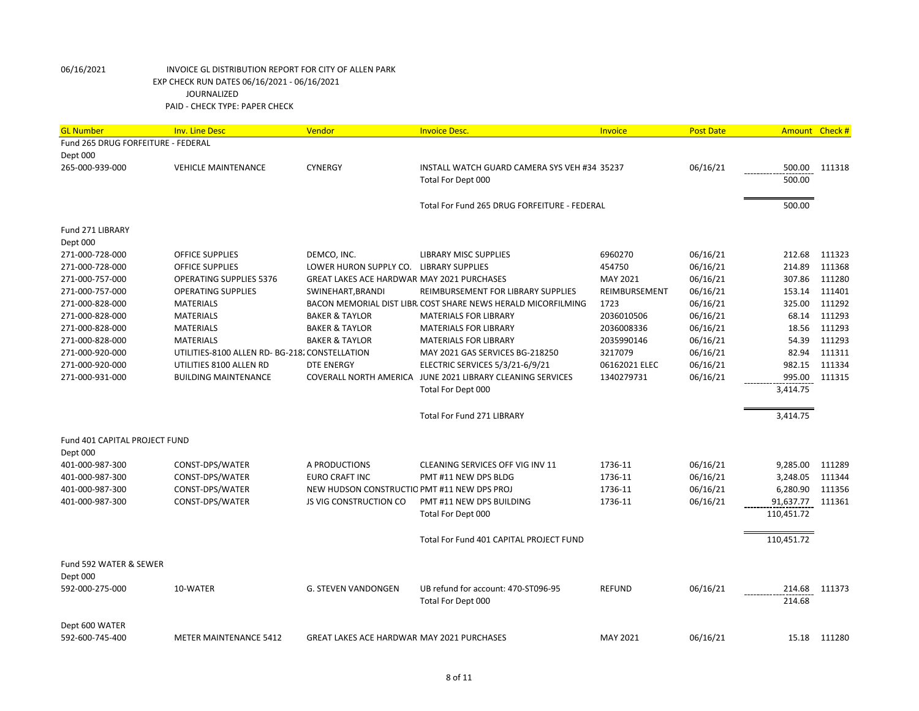| <b>GL Number</b>                   | <b>Inv. Line Desc</b>                          | Vendor                                            | <b>Invoice Desc.</b>                                          | <b>Invoice</b> | <b>Post Date</b> | <b>Amount</b> | Check#       |
|------------------------------------|------------------------------------------------|---------------------------------------------------|---------------------------------------------------------------|----------------|------------------|---------------|--------------|
| Fund 265 DRUG FORFEITURE - FEDERAL |                                                |                                                   |                                                               |                |                  |               |              |
| Dept 000                           |                                                |                                                   |                                                               |                |                  |               |              |
| 265-000-939-000                    | <b>VEHICLE MAINTENANCE</b>                     | <b>CYNERGY</b>                                    | INSTALL WATCH GUARD CAMERA SYS VEH #34 35237                  |                | 06/16/21         | 500.00        | 111318       |
|                                    |                                                |                                                   | Total For Dept 000                                            |                |                  | 500.00        |              |
|                                    |                                                |                                                   |                                                               |                |                  |               |              |
|                                    |                                                |                                                   | Total For Fund 265 DRUG FORFEITURE - FEDERAL                  |                |                  | 500.00        |              |
|                                    |                                                |                                                   |                                                               |                |                  |               |              |
| Fund 271 LIBRARY                   |                                                |                                                   |                                                               |                |                  |               |              |
| Dept 000                           |                                                |                                                   |                                                               |                |                  |               |              |
| 271-000-728-000                    | <b>OFFICE SUPPLIES</b>                         | DEMCO, INC.                                       | <b>LIBRARY MISC SUPPLIES</b>                                  | 6960270        | 06/16/21         | 212.68        | 111323       |
| 271-000-728-000                    | <b>OFFICE SUPPLIES</b>                         | LOWER HURON SUPPLY CO. LIBRARY SUPPLIES           |                                                               | 454750         | 06/16/21         | 214.89        | 111368       |
| 271-000-757-000                    | <b>OPERATING SUPPLIES 5376</b>                 | <b>GREAT LAKES ACE HARDWAR MAY 2021 PURCHASES</b> |                                                               | MAY 2021       | 06/16/21         | 307.86        | 111280       |
| 271-000-757-000                    | <b>OPERATING SUPPLIES</b>                      | SWINEHART, BRANDI                                 | REIMBURSEMENT FOR LIBRARY SUPPLIES                            | REIMBURSEMENT  | 06/16/21         | 153.14        | 111401       |
| 271-000-828-000                    | <b>MATERIALS</b>                               |                                                   | BACON MEMORIAL DIST LIBR. COST SHARE NEWS HERALD MICORFILMING | 1723           | 06/16/21         | 325.00        | 111292       |
| 271-000-828-000                    | <b>MATERIALS</b>                               | <b>BAKER &amp; TAYLOR</b>                         | <b>MATERIALS FOR LIBRARY</b>                                  | 2036010506     | 06/16/21         | 68.14         | 111293       |
| 271-000-828-000                    | <b>MATERIALS</b>                               | <b>BAKER &amp; TAYLOR</b>                         | <b>MATERIALS FOR LIBRARY</b>                                  | 2036008336     | 06/16/21         | 18.56         | 111293       |
| 271-000-828-000                    | <b>MATERIALS</b>                               | <b>BAKER &amp; TAYLOR</b>                         | <b>MATERIALS FOR LIBRARY</b>                                  | 2035990146     | 06/16/21         | 54.39         | 111293       |
| 271-000-920-000                    | UTILITIES-8100 ALLEN RD- BG-218, CONSTELLATION |                                                   | MAY 2021 GAS SERVICES BG-218250                               | 3217079        | 06/16/21         | 82.94         | 111311       |
| 271-000-920-000                    | UTILITIES 8100 ALLEN RD                        | <b>DTE ENERGY</b>                                 | ELECTRIC SERVICES 5/3/21-6/9/21                               | 06162021 ELEC  | 06/16/21         | 982.15        | 111334       |
| 271-000-931-000                    | <b>BUILDING MAINTENANCE</b>                    |                                                   | COVERALL NORTH AMERICA JUNE 2021 LIBRARY CLEANING SERVICES    | 1340279731     | 06/16/21         | 995.00        | 111315       |
|                                    |                                                |                                                   | Total For Dept 000                                            |                |                  | 3,414.75      |              |
|                                    |                                                |                                                   |                                                               |                |                  |               |              |
|                                    |                                                |                                                   | <b>Total For Fund 271 LIBRARY</b>                             |                |                  | 3,414.75      |              |
| Fund 401 CAPITAL PROJECT FUND      |                                                |                                                   |                                                               |                |                  |               |              |
| Dept 000                           |                                                |                                                   |                                                               |                |                  |               |              |
| 401-000-987-300                    | CONST-DPS/WATER                                | A PRODUCTIONS                                     | CLEANING SERVICES OFF VIG INV 11                              | 1736-11        | 06/16/21         | 9,285.00      | 111289       |
| 401-000-987-300                    | CONST-DPS/WATER                                | <b>EURO CRAFT INC</b>                             | PMT #11 NEW DPS BLDG                                          | 1736-11        | 06/16/21         | 3,248.05      | 111344       |
| 401-000-987-300                    | CONST-DPS/WATER                                | NEW HUDSON CONSTRUCTIO PMT #11 NEW DPS PROJ       |                                                               | 1736-11        | 06/16/21         | 6,280.90      | 111356       |
| 401-000-987-300                    | CONST-DPS/WATER                                | <b>JS VIG CONSTRUCTION CO</b>                     | PMT #11 NEW DPS BUILDING                                      | 1736-11        | 06/16/21         | 91,637.77     | 111361       |
|                                    |                                                |                                                   | Total For Dept 000                                            |                |                  | 110,451.72    |              |
|                                    |                                                |                                                   |                                                               |                |                  |               |              |
|                                    |                                                |                                                   | Total For Fund 401 CAPITAL PROJECT FUND                       |                |                  | 110,451.72    |              |
| Fund 592 WATER & SEWER             |                                                |                                                   |                                                               |                |                  |               |              |
| Dept 000                           |                                                |                                                   |                                                               |                |                  |               |              |
| 592-000-275-000                    | 10-WATER                                       | <b>G. STEVEN VANDONGEN</b>                        | UB refund for account: 470-ST096-95                           | <b>REFUND</b>  | 06/16/21         | 214.68        | 111373       |
|                                    |                                                |                                                   | Total For Dept 000                                            |                |                  | 214.68        |              |
|                                    |                                                |                                                   |                                                               |                |                  |               |              |
| Dept 600 WATER                     |                                                |                                                   |                                                               |                |                  |               |              |
| 592-600-745-400                    | <b>METER MAINTENANCE 5412</b>                  | GREAT LAKES ACE HARDWAR MAY 2021 PURCHASES        |                                                               | MAY 2021       | 06/16/21         |               | 15.18 111280 |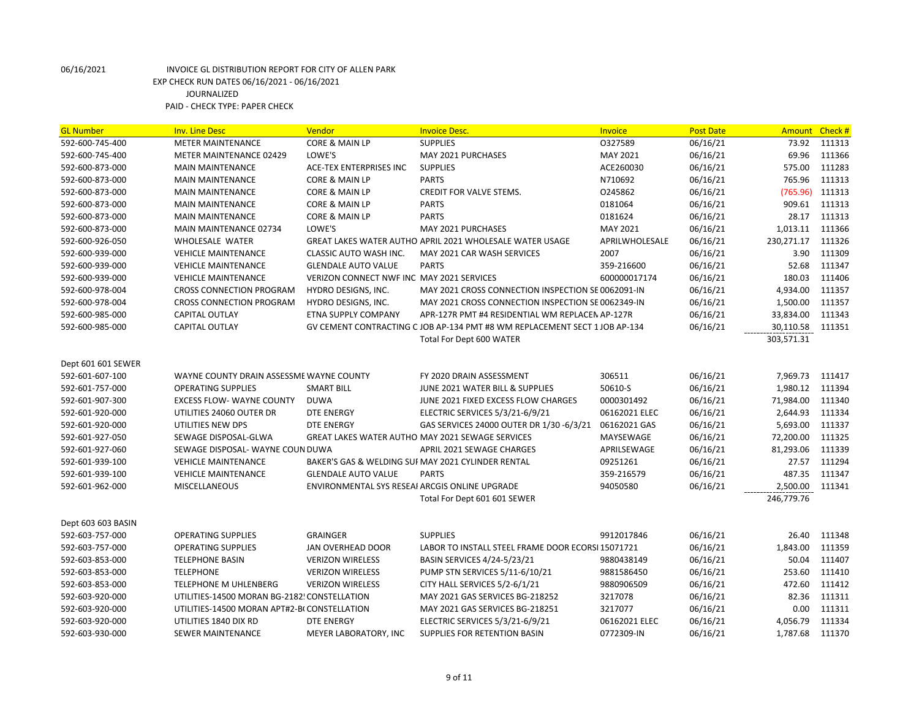| <b>SUPPLIES</b><br>0327589<br>06/16/21<br>111313<br>592-600-745-400<br><b>METER MAINTENANCE</b><br>CORE & MAIN LP<br>73.92<br>LOWE'S<br>MAY 2021<br>06/16/21<br>69.96<br>111366<br>592-600-745-400<br><b>METER MAINTENANCE 02429</b><br>MAY 2021 PURCHASES<br><b>SUPPLIES</b><br>575.00<br>111283<br>592-600-873-000<br><b>MAIN MAINTENANCE</b><br>ACE-TEX ENTERPRISES INC<br>ACE260030<br>06/16/21<br>765.96<br>111313<br>592-600-873-000<br><b>CORE &amp; MAIN LP</b><br><b>PARTS</b><br>N710692<br>06/16/21<br><b>MAIN MAINTENANCE</b><br>0245862<br>06/16/21<br>(765.96)<br>111313<br>592-600-873-000<br>CORE & MAIN LP<br>CREDIT FOR VALVE STEMS.<br><b>MAIN MAINTENANCE</b><br>909.61<br><b>CORE &amp; MAIN LP</b><br><b>PARTS</b><br>0181064<br>06/16/21<br>111313<br>592-600-873-000<br><b>MAIN MAINTENANCE</b><br><b>PARTS</b><br>111313<br>592-600-873-000<br><b>MAIN MAINTENANCE</b><br>CORE & MAIN LP<br>0181624<br>06/16/21<br>28.17<br>LOWE'S<br>MAY 2021 PURCHASES<br>MAY 2021<br>06/16/21<br>1,013.11<br>111366<br>592-600-873-000<br><b>MAIN MAINTENANCE 02734</b><br>APRILWHOLESALE<br>230,271.17<br>111326<br>592-600-926-050<br>WHOLESALE WATER<br>GREAT LAKES WATER AUTHO APRIL 2021 WHOLESALE WATER USAGE<br>06/16/21<br>3.90<br>111309<br>592-600-939-000<br><b>VEHICLE MAINTENANCE</b><br><b>CLASSIC AUTO WASH INC.</b><br>MAY 2021 CAR WASH SERVICES<br>2007<br>06/16/21<br><b>PARTS</b><br>359-216600<br>06/16/21<br>52.68<br>111347<br>592-600-939-000<br><b>VEHICLE MAINTENANCE</b><br><b>GLENDALE AUTO VALUE</b><br>VERIZON CONNECT NWF INC MAY 2021 SERVICES<br>06/16/21<br>180.03<br>111406<br>592-600-939-000<br><b>VEHICLE MAINTENANCE</b><br>600000017174<br>06/16/21<br>4,934.00<br>111357<br>592-600-978-004<br><b>CROSS CONNECTION PROGRAM</b><br>HYDRO DESIGNS, INC.<br>MAY 2021 CROSS CONNECTION INSPECTION SE 0062091-IN<br>592-600-978-004<br><b>CROSS CONNECTION PROGRAM</b><br>HYDRO DESIGNS, INC.<br>MAY 2021 CROSS CONNECTION INSPECTION SE 0062349-IN<br>06/16/21<br>1,500.00<br>111357<br>06/16/21<br>33,834.00<br>111343<br>592-600-985-000<br>CAPITAL OUTLAY<br><b>ETNA SUPPLY COMPANY</b><br>APR-127R PMT #4 RESIDENTIAL WM REPLACEN AP-127R<br>592-600-985-000<br>CAPITAL OUTLAY<br>GV CEMENT CONTRACTING C JOB AP-134 PMT #8 WM REPLACEMENT SECT 1 JOB AP-134<br>06/16/21<br>30,110.58<br>111351<br>303,571.31<br>Total For Dept 600 WATER<br>Dept 601 601 SEWER<br>592-601-607-100<br>WAYNE COUNTY DRAIN ASSESSME WAYNE COUNTY<br>FY 2020 DRAIN ASSESSMENT<br>306511<br>06/16/21<br>7,969.73<br>111417<br>50610-S<br>06/16/21<br>1,980.12<br>111394<br>592-601-757-000<br><b>OPERATING SUPPLIES</b><br><b>SMART BILL</b><br>JUNE 2021 WATER BILL & SUPPLIES<br>111340<br>592-601-907-300<br><b>EXCESS FLOW- WAYNE COUNTY</b><br><b>DUWA</b><br>JUNE 2021 FIXED EXCESS FLOW CHARGES<br>0000301492<br>06/16/21<br>71,984.00<br>592-601-920-000<br><b>DTE ENERGY</b><br>ELECTRIC SERVICES 5/3/21-6/9/21<br>06162021 ELEC<br>06/16/21<br>2,644.93<br>111334<br>UTILITIES 24060 OUTER DR<br>5,693.00<br>592-601-920-000<br>UTILITIES NEW DPS<br><b>DTE ENERGY</b><br>GAS SERVICES 24000 OUTER DR 1/30 -6/3/21<br>06162021 GAS<br>06/16/21<br>111337<br>06/16/21<br>72,200.00<br>111325<br>592-601-927-050<br>SEWAGE DISPOSAL-GLWA<br><b>GREAT LAKES WATER AUTHO MAY 2021 SEWAGE SERVICES</b><br>MAYSEWAGE<br>111339<br>592-601-927-060<br>SEWAGE DISPOSAL- WAYNE COUN DUWA<br>APRIL 2021 SEWAGE CHARGES<br>APRILSEWAGE<br>06/16/21<br>81,293.06<br>BAKER'S GAS & WELDING SUI MAY 2021 CYLINDER RENTAL<br>09251261<br>06/16/21<br>27.57<br>111294<br>592-601-939-100<br><b>VEHICLE MAINTENANCE</b><br><b>GLENDALE AUTO VALUE</b><br><b>PARTS</b><br>06/16/21<br>487.35<br>111347<br>592-601-939-100<br><b>VEHICLE MAINTENANCE</b><br>359-216579<br>2,500.00<br><b>MISCELLANEOUS</b><br>ENVIRONMENTAL SYS RESEAI ARCGIS ONLINE UPGRADE<br>94050580<br>06/16/21<br>111341<br>592-601-962-000<br>246,779.76<br>Total For Dept 601 601 SEWER<br>Dept 603 603 BASIN<br>592-603-757-000<br><b>OPERATING SUPPLIES</b><br><b>GRAINGER</b><br><b>SUPPLIES</b><br>9912017846<br>06/16/21<br>26.40<br>111348<br>06/16/21<br>1,843.00<br>111359<br>592-603-757-000<br><b>OPERATING SUPPLIES</b><br>JAN OVERHEAD DOOR<br>LABOR TO INSTALL STEEL FRAME DOOR ECORSI 15071721<br>111407<br>592-603-853-000<br><b>TELEPHONE BASIN</b><br><b>VERIZON WIRELESS</b><br>BASIN SERVICES 4/24-5/23/21<br>9880438149<br>06/16/21<br>50.04<br>253.60<br>111410<br>592-603-853-000<br><b>TELEPHONE</b><br><b>VERIZON WIRELESS</b><br>PUMP STN SERVICES 5/11-6/10/21<br>9881586450<br>06/16/21 | <b>GL Number</b> | <b>Inv. Line Desc</b> | Vendor                  | <b>Invoice Desc.</b>          | <b>Invoice</b> | <b>Post Date</b> | <b>Amount</b> | Check # |
|--------------------------------------------------------------------------------------------------------------------------------------------------------------------------------------------------------------------------------------------------------------------------------------------------------------------------------------------------------------------------------------------------------------------------------------------------------------------------------------------------------------------------------------------------------------------------------------------------------------------------------------------------------------------------------------------------------------------------------------------------------------------------------------------------------------------------------------------------------------------------------------------------------------------------------------------------------------------------------------------------------------------------------------------------------------------------------------------------------------------------------------------------------------------------------------------------------------------------------------------------------------------------------------------------------------------------------------------------------------------------------------------------------------------------------------------------------------------------------------------------------------------------------------------------------------------------------------------------------------------------------------------------------------------------------------------------------------------------------------------------------------------------------------------------------------------------------------------------------------------------------------------------------------------------------------------------------------------------------------------------------------------------------------------------------------------------------------------------------------------------------------------------------------------------------------------------------------------------------------------------------------------------------------------------------------------------------------------------------------------------------------------------------------------------------------------------------------------------------------------------------------------------------------------------------------------------------------------------------------------------------------------------------------------------------------------------------------------------------------------------------------------------------------------------------------------------------------------------------------------------------------------------------------------------------------------------------------------------------------------------------------------------------------------------------------------------------------------------------------------------------------------------------------------------------------------------------------------------------------------------------------------------------------------------------------------------------------------------------------------------------------------------------------------------------------------------------------------------------------------------------------------------------------------------------------------------------------------------------------------------------------------------------------------------------------------------------------------------------------------------------------------------------------------------------------------------------------------------------------------------------------------------------------------------------------------------------------------------------------------------------------------------------------------------------------------------------------------------------------------------------------------------------------------------------------------------------------------------------------------------------------------------------------------------------------------------------------------------------------------------------------------------------------------------------------------------------------------------------------------------------------------------------------------------------------------------------------------------------------------|------------------|-----------------------|-------------------------|-------------------------------|----------------|------------------|---------------|---------|
|                                                                                                                                                                                                                                                                                                                                                                                                                                                                                                                                                                                                                                                                                                                                                                                                                                                                                                                                                                                                                                                                                                                                                                                                                                                                                                                                                                                                                                                                                                                                                                                                                                                                                                                                                                                                                                                                                                                                                                                                                                                                                                                                                                                                                                                                                                                                                                                                                                                                                                                                                                                                                                                                                                                                                                                                                                                                                                                                                                                                                                                                                                                                                                                                                                                                                                                                                                                                                                                                                                                                                                                                                                                                                                                                                                                                                                                                                                                                                                                                                                                                                                                                                                                                                                                                                                                                                                                                                                                                                                                                                                                                                    |                  |                       |                         |                               |                |                  |               |         |
|                                                                                                                                                                                                                                                                                                                                                                                                                                                                                                                                                                                                                                                                                                                                                                                                                                                                                                                                                                                                                                                                                                                                                                                                                                                                                                                                                                                                                                                                                                                                                                                                                                                                                                                                                                                                                                                                                                                                                                                                                                                                                                                                                                                                                                                                                                                                                                                                                                                                                                                                                                                                                                                                                                                                                                                                                                                                                                                                                                                                                                                                                                                                                                                                                                                                                                                                                                                                                                                                                                                                                                                                                                                                                                                                                                                                                                                                                                                                                                                                                                                                                                                                                                                                                                                                                                                                                                                                                                                                                                                                                                                                                    |                  |                       |                         |                               |                |                  |               |         |
|                                                                                                                                                                                                                                                                                                                                                                                                                                                                                                                                                                                                                                                                                                                                                                                                                                                                                                                                                                                                                                                                                                                                                                                                                                                                                                                                                                                                                                                                                                                                                                                                                                                                                                                                                                                                                                                                                                                                                                                                                                                                                                                                                                                                                                                                                                                                                                                                                                                                                                                                                                                                                                                                                                                                                                                                                                                                                                                                                                                                                                                                                                                                                                                                                                                                                                                                                                                                                                                                                                                                                                                                                                                                                                                                                                                                                                                                                                                                                                                                                                                                                                                                                                                                                                                                                                                                                                                                                                                                                                                                                                                                                    |                  |                       |                         |                               |                |                  |               |         |
|                                                                                                                                                                                                                                                                                                                                                                                                                                                                                                                                                                                                                                                                                                                                                                                                                                                                                                                                                                                                                                                                                                                                                                                                                                                                                                                                                                                                                                                                                                                                                                                                                                                                                                                                                                                                                                                                                                                                                                                                                                                                                                                                                                                                                                                                                                                                                                                                                                                                                                                                                                                                                                                                                                                                                                                                                                                                                                                                                                                                                                                                                                                                                                                                                                                                                                                                                                                                                                                                                                                                                                                                                                                                                                                                                                                                                                                                                                                                                                                                                                                                                                                                                                                                                                                                                                                                                                                                                                                                                                                                                                                                                    |                  |                       |                         |                               |                |                  |               |         |
|                                                                                                                                                                                                                                                                                                                                                                                                                                                                                                                                                                                                                                                                                                                                                                                                                                                                                                                                                                                                                                                                                                                                                                                                                                                                                                                                                                                                                                                                                                                                                                                                                                                                                                                                                                                                                                                                                                                                                                                                                                                                                                                                                                                                                                                                                                                                                                                                                                                                                                                                                                                                                                                                                                                                                                                                                                                                                                                                                                                                                                                                                                                                                                                                                                                                                                                                                                                                                                                                                                                                                                                                                                                                                                                                                                                                                                                                                                                                                                                                                                                                                                                                                                                                                                                                                                                                                                                                                                                                                                                                                                                                                    |                  |                       |                         |                               |                |                  |               |         |
|                                                                                                                                                                                                                                                                                                                                                                                                                                                                                                                                                                                                                                                                                                                                                                                                                                                                                                                                                                                                                                                                                                                                                                                                                                                                                                                                                                                                                                                                                                                                                                                                                                                                                                                                                                                                                                                                                                                                                                                                                                                                                                                                                                                                                                                                                                                                                                                                                                                                                                                                                                                                                                                                                                                                                                                                                                                                                                                                                                                                                                                                                                                                                                                                                                                                                                                                                                                                                                                                                                                                                                                                                                                                                                                                                                                                                                                                                                                                                                                                                                                                                                                                                                                                                                                                                                                                                                                                                                                                                                                                                                                                                    |                  |                       |                         |                               |                |                  |               |         |
|                                                                                                                                                                                                                                                                                                                                                                                                                                                                                                                                                                                                                                                                                                                                                                                                                                                                                                                                                                                                                                                                                                                                                                                                                                                                                                                                                                                                                                                                                                                                                                                                                                                                                                                                                                                                                                                                                                                                                                                                                                                                                                                                                                                                                                                                                                                                                                                                                                                                                                                                                                                                                                                                                                                                                                                                                                                                                                                                                                                                                                                                                                                                                                                                                                                                                                                                                                                                                                                                                                                                                                                                                                                                                                                                                                                                                                                                                                                                                                                                                                                                                                                                                                                                                                                                                                                                                                                                                                                                                                                                                                                                                    |                  |                       |                         |                               |                |                  |               |         |
|                                                                                                                                                                                                                                                                                                                                                                                                                                                                                                                                                                                                                                                                                                                                                                                                                                                                                                                                                                                                                                                                                                                                                                                                                                                                                                                                                                                                                                                                                                                                                                                                                                                                                                                                                                                                                                                                                                                                                                                                                                                                                                                                                                                                                                                                                                                                                                                                                                                                                                                                                                                                                                                                                                                                                                                                                                                                                                                                                                                                                                                                                                                                                                                                                                                                                                                                                                                                                                                                                                                                                                                                                                                                                                                                                                                                                                                                                                                                                                                                                                                                                                                                                                                                                                                                                                                                                                                                                                                                                                                                                                                                                    |                  |                       |                         |                               |                |                  |               |         |
|                                                                                                                                                                                                                                                                                                                                                                                                                                                                                                                                                                                                                                                                                                                                                                                                                                                                                                                                                                                                                                                                                                                                                                                                                                                                                                                                                                                                                                                                                                                                                                                                                                                                                                                                                                                                                                                                                                                                                                                                                                                                                                                                                                                                                                                                                                                                                                                                                                                                                                                                                                                                                                                                                                                                                                                                                                                                                                                                                                                                                                                                                                                                                                                                                                                                                                                                                                                                                                                                                                                                                                                                                                                                                                                                                                                                                                                                                                                                                                                                                                                                                                                                                                                                                                                                                                                                                                                                                                                                                                                                                                                                                    |                  |                       |                         |                               |                |                  |               |         |
|                                                                                                                                                                                                                                                                                                                                                                                                                                                                                                                                                                                                                                                                                                                                                                                                                                                                                                                                                                                                                                                                                                                                                                                                                                                                                                                                                                                                                                                                                                                                                                                                                                                                                                                                                                                                                                                                                                                                                                                                                                                                                                                                                                                                                                                                                                                                                                                                                                                                                                                                                                                                                                                                                                                                                                                                                                                                                                                                                                                                                                                                                                                                                                                                                                                                                                                                                                                                                                                                                                                                                                                                                                                                                                                                                                                                                                                                                                                                                                                                                                                                                                                                                                                                                                                                                                                                                                                                                                                                                                                                                                                                                    |                  |                       |                         |                               |                |                  |               |         |
|                                                                                                                                                                                                                                                                                                                                                                                                                                                                                                                                                                                                                                                                                                                                                                                                                                                                                                                                                                                                                                                                                                                                                                                                                                                                                                                                                                                                                                                                                                                                                                                                                                                                                                                                                                                                                                                                                                                                                                                                                                                                                                                                                                                                                                                                                                                                                                                                                                                                                                                                                                                                                                                                                                                                                                                                                                                                                                                                                                                                                                                                                                                                                                                                                                                                                                                                                                                                                                                                                                                                                                                                                                                                                                                                                                                                                                                                                                                                                                                                                                                                                                                                                                                                                                                                                                                                                                                                                                                                                                                                                                                                                    |                  |                       |                         |                               |                |                  |               |         |
|                                                                                                                                                                                                                                                                                                                                                                                                                                                                                                                                                                                                                                                                                                                                                                                                                                                                                                                                                                                                                                                                                                                                                                                                                                                                                                                                                                                                                                                                                                                                                                                                                                                                                                                                                                                                                                                                                                                                                                                                                                                                                                                                                                                                                                                                                                                                                                                                                                                                                                                                                                                                                                                                                                                                                                                                                                                                                                                                                                                                                                                                                                                                                                                                                                                                                                                                                                                                                                                                                                                                                                                                                                                                                                                                                                                                                                                                                                                                                                                                                                                                                                                                                                                                                                                                                                                                                                                                                                                                                                                                                                                                                    |                  |                       |                         |                               |                |                  |               |         |
|                                                                                                                                                                                                                                                                                                                                                                                                                                                                                                                                                                                                                                                                                                                                                                                                                                                                                                                                                                                                                                                                                                                                                                                                                                                                                                                                                                                                                                                                                                                                                                                                                                                                                                                                                                                                                                                                                                                                                                                                                                                                                                                                                                                                                                                                                                                                                                                                                                                                                                                                                                                                                                                                                                                                                                                                                                                                                                                                                                                                                                                                                                                                                                                                                                                                                                                                                                                                                                                                                                                                                                                                                                                                                                                                                                                                                                                                                                                                                                                                                                                                                                                                                                                                                                                                                                                                                                                                                                                                                                                                                                                                                    |                  |                       |                         |                               |                |                  |               |         |
|                                                                                                                                                                                                                                                                                                                                                                                                                                                                                                                                                                                                                                                                                                                                                                                                                                                                                                                                                                                                                                                                                                                                                                                                                                                                                                                                                                                                                                                                                                                                                                                                                                                                                                                                                                                                                                                                                                                                                                                                                                                                                                                                                                                                                                                                                                                                                                                                                                                                                                                                                                                                                                                                                                                                                                                                                                                                                                                                                                                                                                                                                                                                                                                                                                                                                                                                                                                                                                                                                                                                                                                                                                                                                                                                                                                                                                                                                                                                                                                                                                                                                                                                                                                                                                                                                                                                                                                                                                                                                                                                                                                                                    |                  |                       |                         |                               |                |                  |               |         |
|                                                                                                                                                                                                                                                                                                                                                                                                                                                                                                                                                                                                                                                                                                                                                                                                                                                                                                                                                                                                                                                                                                                                                                                                                                                                                                                                                                                                                                                                                                                                                                                                                                                                                                                                                                                                                                                                                                                                                                                                                                                                                                                                                                                                                                                                                                                                                                                                                                                                                                                                                                                                                                                                                                                                                                                                                                                                                                                                                                                                                                                                                                                                                                                                                                                                                                                                                                                                                                                                                                                                                                                                                                                                                                                                                                                                                                                                                                                                                                                                                                                                                                                                                                                                                                                                                                                                                                                                                                                                                                                                                                                                                    |                  |                       |                         |                               |                |                  |               |         |
|                                                                                                                                                                                                                                                                                                                                                                                                                                                                                                                                                                                                                                                                                                                                                                                                                                                                                                                                                                                                                                                                                                                                                                                                                                                                                                                                                                                                                                                                                                                                                                                                                                                                                                                                                                                                                                                                                                                                                                                                                                                                                                                                                                                                                                                                                                                                                                                                                                                                                                                                                                                                                                                                                                                                                                                                                                                                                                                                                                                                                                                                                                                                                                                                                                                                                                                                                                                                                                                                                                                                                                                                                                                                                                                                                                                                                                                                                                                                                                                                                                                                                                                                                                                                                                                                                                                                                                                                                                                                                                                                                                                                                    |                  |                       |                         |                               |                |                  |               |         |
|                                                                                                                                                                                                                                                                                                                                                                                                                                                                                                                                                                                                                                                                                                                                                                                                                                                                                                                                                                                                                                                                                                                                                                                                                                                                                                                                                                                                                                                                                                                                                                                                                                                                                                                                                                                                                                                                                                                                                                                                                                                                                                                                                                                                                                                                                                                                                                                                                                                                                                                                                                                                                                                                                                                                                                                                                                                                                                                                                                                                                                                                                                                                                                                                                                                                                                                                                                                                                                                                                                                                                                                                                                                                                                                                                                                                                                                                                                                                                                                                                                                                                                                                                                                                                                                                                                                                                                                                                                                                                                                                                                                                                    |                  |                       |                         |                               |                |                  |               |         |
|                                                                                                                                                                                                                                                                                                                                                                                                                                                                                                                                                                                                                                                                                                                                                                                                                                                                                                                                                                                                                                                                                                                                                                                                                                                                                                                                                                                                                                                                                                                                                                                                                                                                                                                                                                                                                                                                                                                                                                                                                                                                                                                                                                                                                                                                                                                                                                                                                                                                                                                                                                                                                                                                                                                                                                                                                                                                                                                                                                                                                                                                                                                                                                                                                                                                                                                                                                                                                                                                                                                                                                                                                                                                                                                                                                                                                                                                                                                                                                                                                                                                                                                                                                                                                                                                                                                                                                                                                                                                                                                                                                                                                    |                  |                       |                         |                               |                |                  |               |         |
|                                                                                                                                                                                                                                                                                                                                                                                                                                                                                                                                                                                                                                                                                                                                                                                                                                                                                                                                                                                                                                                                                                                                                                                                                                                                                                                                                                                                                                                                                                                                                                                                                                                                                                                                                                                                                                                                                                                                                                                                                                                                                                                                                                                                                                                                                                                                                                                                                                                                                                                                                                                                                                                                                                                                                                                                                                                                                                                                                                                                                                                                                                                                                                                                                                                                                                                                                                                                                                                                                                                                                                                                                                                                                                                                                                                                                                                                                                                                                                                                                                                                                                                                                                                                                                                                                                                                                                                                                                                                                                                                                                                                                    |                  |                       |                         |                               |                |                  |               |         |
|                                                                                                                                                                                                                                                                                                                                                                                                                                                                                                                                                                                                                                                                                                                                                                                                                                                                                                                                                                                                                                                                                                                                                                                                                                                                                                                                                                                                                                                                                                                                                                                                                                                                                                                                                                                                                                                                                                                                                                                                                                                                                                                                                                                                                                                                                                                                                                                                                                                                                                                                                                                                                                                                                                                                                                                                                                                                                                                                                                                                                                                                                                                                                                                                                                                                                                                                                                                                                                                                                                                                                                                                                                                                                                                                                                                                                                                                                                                                                                                                                                                                                                                                                                                                                                                                                                                                                                                                                                                                                                                                                                                                                    |                  |                       |                         |                               |                |                  |               |         |
|                                                                                                                                                                                                                                                                                                                                                                                                                                                                                                                                                                                                                                                                                                                                                                                                                                                                                                                                                                                                                                                                                                                                                                                                                                                                                                                                                                                                                                                                                                                                                                                                                                                                                                                                                                                                                                                                                                                                                                                                                                                                                                                                                                                                                                                                                                                                                                                                                                                                                                                                                                                                                                                                                                                                                                                                                                                                                                                                                                                                                                                                                                                                                                                                                                                                                                                                                                                                                                                                                                                                                                                                                                                                                                                                                                                                                                                                                                                                                                                                                                                                                                                                                                                                                                                                                                                                                                                                                                                                                                                                                                                                                    |                  |                       |                         |                               |                |                  |               |         |
|                                                                                                                                                                                                                                                                                                                                                                                                                                                                                                                                                                                                                                                                                                                                                                                                                                                                                                                                                                                                                                                                                                                                                                                                                                                                                                                                                                                                                                                                                                                                                                                                                                                                                                                                                                                                                                                                                                                                                                                                                                                                                                                                                                                                                                                                                                                                                                                                                                                                                                                                                                                                                                                                                                                                                                                                                                                                                                                                                                                                                                                                                                                                                                                                                                                                                                                                                                                                                                                                                                                                                                                                                                                                                                                                                                                                                                                                                                                                                                                                                                                                                                                                                                                                                                                                                                                                                                                                                                                                                                                                                                                                                    |                  |                       |                         |                               |                |                  |               |         |
|                                                                                                                                                                                                                                                                                                                                                                                                                                                                                                                                                                                                                                                                                                                                                                                                                                                                                                                                                                                                                                                                                                                                                                                                                                                                                                                                                                                                                                                                                                                                                                                                                                                                                                                                                                                                                                                                                                                                                                                                                                                                                                                                                                                                                                                                                                                                                                                                                                                                                                                                                                                                                                                                                                                                                                                                                                                                                                                                                                                                                                                                                                                                                                                                                                                                                                                                                                                                                                                                                                                                                                                                                                                                                                                                                                                                                                                                                                                                                                                                                                                                                                                                                                                                                                                                                                                                                                                                                                                                                                                                                                                                                    |                  |                       |                         |                               |                |                  |               |         |
|                                                                                                                                                                                                                                                                                                                                                                                                                                                                                                                                                                                                                                                                                                                                                                                                                                                                                                                                                                                                                                                                                                                                                                                                                                                                                                                                                                                                                                                                                                                                                                                                                                                                                                                                                                                                                                                                                                                                                                                                                                                                                                                                                                                                                                                                                                                                                                                                                                                                                                                                                                                                                                                                                                                                                                                                                                                                                                                                                                                                                                                                                                                                                                                                                                                                                                                                                                                                                                                                                                                                                                                                                                                                                                                                                                                                                                                                                                                                                                                                                                                                                                                                                                                                                                                                                                                                                                                                                                                                                                                                                                                                                    |                  |                       |                         |                               |                |                  |               |         |
|                                                                                                                                                                                                                                                                                                                                                                                                                                                                                                                                                                                                                                                                                                                                                                                                                                                                                                                                                                                                                                                                                                                                                                                                                                                                                                                                                                                                                                                                                                                                                                                                                                                                                                                                                                                                                                                                                                                                                                                                                                                                                                                                                                                                                                                                                                                                                                                                                                                                                                                                                                                                                                                                                                                                                                                                                                                                                                                                                                                                                                                                                                                                                                                                                                                                                                                                                                                                                                                                                                                                                                                                                                                                                                                                                                                                                                                                                                                                                                                                                                                                                                                                                                                                                                                                                                                                                                                                                                                                                                                                                                                                                    |                  |                       |                         |                               |                |                  |               |         |
|                                                                                                                                                                                                                                                                                                                                                                                                                                                                                                                                                                                                                                                                                                                                                                                                                                                                                                                                                                                                                                                                                                                                                                                                                                                                                                                                                                                                                                                                                                                                                                                                                                                                                                                                                                                                                                                                                                                                                                                                                                                                                                                                                                                                                                                                                                                                                                                                                                                                                                                                                                                                                                                                                                                                                                                                                                                                                                                                                                                                                                                                                                                                                                                                                                                                                                                                                                                                                                                                                                                                                                                                                                                                                                                                                                                                                                                                                                                                                                                                                                                                                                                                                                                                                                                                                                                                                                                                                                                                                                                                                                                                                    |                  |                       |                         |                               |                |                  |               |         |
|                                                                                                                                                                                                                                                                                                                                                                                                                                                                                                                                                                                                                                                                                                                                                                                                                                                                                                                                                                                                                                                                                                                                                                                                                                                                                                                                                                                                                                                                                                                                                                                                                                                                                                                                                                                                                                                                                                                                                                                                                                                                                                                                                                                                                                                                                                                                                                                                                                                                                                                                                                                                                                                                                                                                                                                                                                                                                                                                                                                                                                                                                                                                                                                                                                                                                                                                                                                                                                                                                                                                                                                                                                                                                                                                                                                                                                                                                                                                                                                                                                                                                                                                                                                                                                                                                                                                                                                                                                                                                                                                                                                                                    |                  |                       |                         |                               |                |                  |               |         |
|                                                                                                                                                                                                                                                                                                                                                                                                                                                                                                                                                                                                                                                                                                                                                                                                                                                                                                                                                                                                                                                                                                                                                                                                                                                                                                                                                                                                                                                                                                                                                                                                                                                                                                                                                                                                                                                                                                                                                                                                                                                                                                                                                                                                                                                                                                                                                                                                                                                                                                                                                                                                                                                                                                                                                                                                                                                                                                                                                                                                                                                                                                                                                                                                                                                                                                                                                                                                                                                                                                                                                                                                                                                                                                                                                                                                                                                                                                                                                                                                                                                                                                                                                                                                                                                                                                                                                                                                                                                                                                                                                                                                                    |                  |                       |                         |                               |                |                  |               |         |
|                                                                                                                                                                                                                                                                                                                                                                                                                                                                                                                                                                                                                                                                                                                                                                                                                                                                                                                                                                                                                                                                                                                                                                                                                                                                                                                                                                                                                                                                                                                                                                                                                                                                                                                                                                                                                                                                                                                                                                                                                                                                                                                                                                                                                                                                                                                                                                                                                                                                                                                                                                                                                                                                                                                                                                                                                                                                                                                                                                                                                                                                                                                                                                                                                                                                                                                                                                                                                                                                                                                                                                                                                                                                                                                                                                                                                                                                                                                                                                                                                                                                                                                                                                                                                                                                                                                                                                                                                                                                                                                                                                                                                    |                  |                       |                         |                               |                |                  |               |         |
|                                                                                                                                                                                                                                                                                                                                                                                                                                                                                                                                                                                                                                                                                                                                                                                                                                                                                                                                                                                                                                                                                                                                                                                                                                                                                                                                                                                                                                                                                                                                                                                                                                                                                                                                                                                                                                                                                                                                                                                                                                                                                                                                                                                                                                                                                                                                                                                                                                                                                                                                                                                                                                                                                                                                                                                                                                                                                                                                                                                                                                                                                                                                                                                                                                                                                                                                                                                                                                                                                                                                                                                                                                                                                                                                                                                                                                                                                                                                                                                                                                                                                                                                                                                                                                                                                                                                                                                                                                                                                                                                                                                                                    |                  |                       |                         |                               |                |                  |               |         |
|                                                                                                                                                                                                                                                                                                                                                                                                                                                                                                                                                                                                                                                                                                                                                                                                                                                                                                                                                                                                                                                                                                                                                                                                                                                                                                                                                                                                                                                                                                                                                                                                                                                                                                                                                                                                                                                                                                                                                                                                                                                                                                                                                                                                                                                                                                                                                                                                                                                                                                                                                                                                                                                                                                                                                                                                                                                                                                                                                                                                                                                                                                                                                                                                                                                                                                                                                                                                                                                                                                                                                                                                                                                                                                                                                                                                                                                                                                                                                                                                                                                                                                                                                                                                                                                                                                                                                                                                                                                                                                                                                                                                                    |                  |                       |                         |                               |                |                  |               |         |
|                                                                                                                                                                                                                                                                                                                                                                                                                                                                                                                                                                                                                                                                                                                                                                                                                                                                                                                                                                                                                                                                                                                                                                                                                                                                                                                                                                                                                                                                                                                                                                                                                                                                                                                                                                                                                                                                                                                                                                                                                                                                                                                                                                                                                                                                                                                                                                                                                                                                                                                                                                                                                                                                                                                                                                                                                                                                                                                                                                                                                                                                                                                                                                                                                                                                                                                                                                                                                                                                                                                                                                                                                                                                                                                                                                                                                                                                                                                                                                                                                                                                                                                                                                                                                                                                                                                                                                                                                                                                                                                                                                                                                    |                  |                       |                         |                               |                |                  |               |         |
|                                                                                                                                                                                                                                                                                                                                                                                                                                                                                                                                                                                                                                                                                                                                                                                                                                                                                                                                                                                                                                                                                                                                                                                                                                                                                                                                                                                                                                                                                                                                                                                                                                                                                                                                                                                                                                                                                                                                                                                                                                                                                                                                                                                                                                                                                                                                                                                                                                                                                                                                                                                                                                                                                                                                                                                                                                                                                                                                                                                                                                                                                                                                                                                                                                                                                                                                                                                                                                                                                                                                                                                                                                                                                                                                                                                                                                                                                                                                                                                                                                                                                                                                                                                                                                                                                                                                                                                                                                                                                                                                                                                                                    |                  |                       |                         |                               |                |                  |               |         |
|                                                                                                                                                                                                                                                                                                                                                                                                                                                                                                                                                                                                                                                                                                                                                                                                                                                                                                                                                                                                                                                                                                                                                                                                                                                                                                                                                                                                                                                                                                                                                                                                                                                                                                                                                                                                                                                                                                                                                                                                                                                                                                                                                                                                                                                                                                                                                                                                                                                                                                                                                                                                                                                                                                                                                                                                                                                                                                                                                                                                                                                                                                                                                                                                                                                                                                                                                                                                                                                                                                                                                                                                                                                                                                                                                                                                                                                                                                                                                                                                                                                                                                                                                                                                                                                                                                                                                                                                                                                                                                                                                                                                                    |                  |                       |                         |                               |                |                  |               |         |
|                                                                                                                                                                                                                                                                                                                                                                                                                                                                                                                                                                                                                                                                                                                                                                                                                                                                                                                                                                                                                                                                                                                                                                                                                                                                                                                                                                                                                                                                                                                                                                                                                                                                                                                                                                                                                                                                                                                                                                                                                                                                                                                                                                                                                                                                                                                                                                                                                                                                                                                                                                                                                                                                                                                                                                                                                                                                                                                                                                                                                                                                                                                                                                                                                                                                                                                                                                                                                                                                                                                                                                                                                                                                                                                                                                                                                                                                                                                                                                                                                                                                                                                                                                                                                                                                                                                                                                                                                                                                                                                                                                                                                    | 592-603-853-000  | TELEPHONE M UHLENBERG | <b>VERIZON WIRELESS</b> | CITY HALL SERVICES 5/2-6/1/21 | 9880906509     | 06/16/21         | 472.60        | 111412  |
| 82.36<br>111311<br>592-603-920-000<br>UTILITIES-14500 MORAN BG-2182! CONSTELLATION<br>MAY 2021 GAS SERVICES BG-218252<br>3217078<br>06/16/21                                                                                                                                                                                                                                                                                                                                                                                                                                                                                                                                                                                                                                                                                                                                                                                                                                                                                                                                                                                                                                                                                                                                                                                                                                                                                                                                                                                                                                                                                                                                                                                                                                                                                                                                                                                                                                                                                                                                                                                                                                                                                                                                                                                                                                                                                                                                                                                                                                                                                                                                                                                                                                                                                                                                                                                                                                                                                                                                                                                                                                                                                                                                                                                                                                                                                                                                                                                                                                                                                                                                                                                                                                                                                                                                                                                                                                                                                                                                                                                                                                                                                                                                                                                                                                                                                                                                                                                                                                                                       |                  |                       |                         |                               |                |                  |               |         |
| 0.00<br>111311<br>592-603-920-000<br>UTILITIES-14500 MORAN APT#2-BI CONSTELLATION<br>MAY 2021 GAS SERVICES BG-218251<br>3217077<br>06/16/21                                                                                                                                                                                                                                                                                                                                                                                                                                                                                                                                                                                                                                                                                                                                                                                                                                                                                                                                                                                                                                                                                                                                                                                                                                                                                                                                                                                                                                                                                                                                                                                                                                                                                                                                                                                                                                                                                                                                                                                                                                                                                                                                                                                                                                                                                                                                                                                                                                                                                                                                                                                                                                                                                                                                                                                                                                                                                                                                                                                                                                                                                                                                                                                                                                                                                                                                                                                                                                                                                                                                                                                                                                                                                                                                                                                                                                                                                                                                                                                                                                                                                                                                                                                                                                                                                                                                                                                                                                                                        |                  |                       |                         |                               |                |                  |               |         |
| ELECTRIC SERVICES 5/3/21-6/9/21<br>4,056.79<br>111334<br>592-603-920-000<br>UTILITIES 1840 DIX RD<br><b>DTE ENERGY</b><br>06162021 ELEC<br>06/16/21                                                                                                                                                                                                                                                                                                                                                                                                                                                                                                                                                                                                                                                                                                                                                                                                                                                                                                                                                                                                                                                                                                                                                                                                                                                                                                                                                                                                                                                                                                                                                                                                                                                                                                                                                                                                                                                                                                                                                                                                                                                                                                                                                                                                                                                                                                                                                                                                                                                                                                                                                                                                                                                                                                                                                                                                                                                                                                                                                                                                                                                                                                                                                                                                                                                                                                                                                                                                                                                                                                                                                                                                                                                                                                                                                                                                                                                                                                                                                                                                                                                                                                                                                                                                                                                                                                                                                                                                                                                                |                  |                       |                         |                               |                |                  |               |         |
| 111370<br>592-603-930-000<br><b>SEWER MAINTENANCE</b><br>SUPPLIES FOR RETENTION BASIN<br>0772309-IN<br>06/16/21<br>1,787.68<br>MEYER LABORATORY, INC                                                                                                                                                                                                                                                                                                                                                                                                                                                                                                                                                                                                                                                                                                                                                                                                                                                                                                                                                                                                                                                                                                                                                                                                                                                                                                                                                                                                                                                                                                                                                                                                                                                                                                                                                                                                                                                                                                                                                                                                                                                                                                                                                                                                                                                                                                                                                                                                                                                                                                                                                                                                                                                                                                                                                                                                                                                                                                                                                                                                                                                                                                                                                                                                                                                                                                                                                                                                                                                                                                                                                                                                                                                                                                                                                                                                                                                                                                                                                                                                                                                                                                                                                                                                                                                                                                                                                                                                                                                               |                  |                       |                         |                               |                |                  |               |         |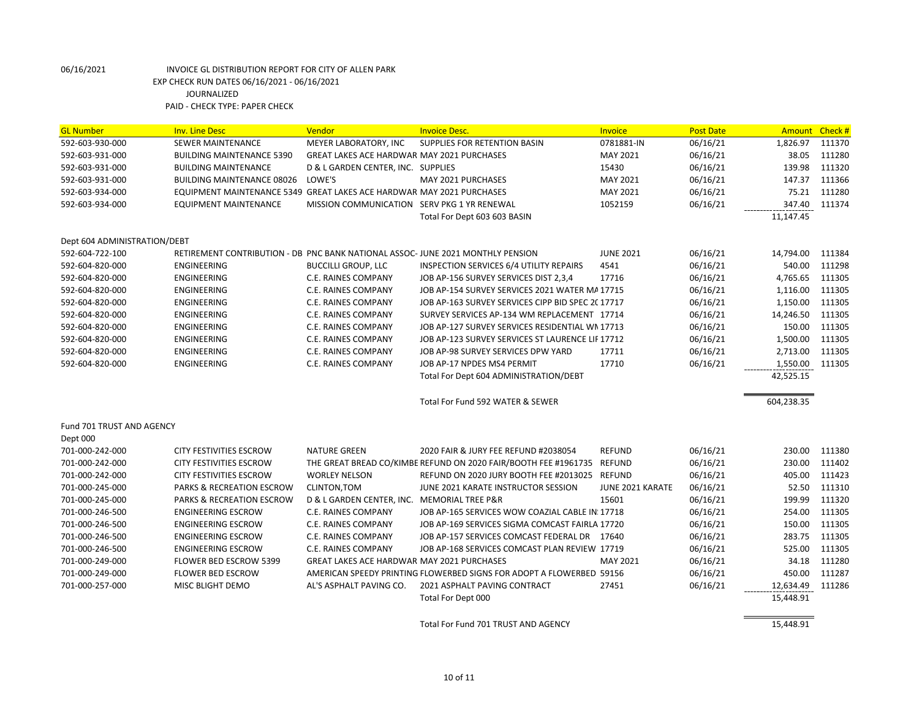| <b>GL Number</b>             | <b>Inv. Line Desc</b>                                                          | Vendor                                            | <b>Invoice Desc.</b>                                                   | <b>Invoice</b>   | <b>Post Date</b> | Amount Check #  |        |
|------------------------------|--------------------------------------------------------------------------------|---------------------------------------------------|------------------------------------------------------------------------|------------------|------------------|-----------------|--------|
| 592-603-930-000              | <b>SEWER MAINTENANCE</b>                                                       | MEYER LABORATORY, INC                             | SUPPLIES FOR RETENTION BASIN                                           | 0781881-IN       | 06/16/21         | 1,826.97        | 111370 |
| 592-603-931-000              | <b>BUILDING MAINTENANCE 5390</b>                                               | GREAT LAKES ACE HARDWAR MAY 2021 PURCHASES        |                                                                        | MAY 2021         | 06/16/21         | 38.05           | 111280 |
| 592-603-931-000              | <b>BUILDING MAINTENANCE</b>                                                    | D & L GARDEN CENTER, INC. SUPPLIES                |                                                                        | 15430            | 06/16/21         | 139.98          | 111320 |
| 592-603-931-000              | <b>BUILDING MAINTENANCE 08026</b>                                              | LOWE'S                                            | MAY 2021 PURCHASES                                                     | MAY 2021         | 06/16/21         | 147.37          | 111366 |
| 592-603-934-000              | EQUIPMENT MAINTENANCE 5349 GREAT LAKES ACE HARDWAR MAY 2021 PURCHASES          |                                                   |                                                                        | MAY 2021         | 06/16/21         | 75.21           | 111280 |
| 592-603-934-000              | <b>EQUIPMENT MAINTENANCE</b>                                                   | MISSION COMMUNICATION SERV PKG 1 YR RENEWAL       |                                                                        | 1052159          | 06/16/21         | 347.40          | 111374 |
|                              |                                                                                |                                                   | Total For Dept 603 603 BASIN                                           |                  |                  | 11,147.45       |        |
| Dept 604 ADMINISTRATION/DEBT |                                                                                |                                                   |                                                                        |                  |                  |                 |        |
| 592-604-722-100              | RETIREMENT CONTRIBUTION - DB PNC BANK NATIONAL ASSOC-JUNE 2021 MONTHLY PENSION |                                                   |                                                                        | <b>JUNE 2021</b> | 06/16/21         | 14,794.00       | 111384 |
| 592-604-820-000              | <b>ENGINEERING</b>                                                             | <b>BUCCILLI GROUP, LLC</b>                        | <b>INSPECTION SERVICES 6/4 UTILITY REPAIRS</b>                         | 4541             | 06/16/21         | 540.00          | 111298 |
| 592-604-820-000              | <b>ENGINEERING</b>                                                             | C.E. RAINES COMPANY                               | JOB AP-156 SURVEY SERVICES DIST 2,3,4                                  | 17716            | 06/16/21         | 4,765.65        | 111305 |
| 592-604-820-000              | <b>ENGINEERING</b>                                                             | <b>C.E. RAINES COMPANY</b>                        | JOB AP-154 SURVEY SERVICES 2021 WATER MA17715                          |                  | 06/16/21         | 1,116.00        | 111305 |
| 592-604-820-000              | <b>ENGINEERING</b>                                                             | C.E. RAINES COMPANY                               | JOB AP-163 SURVEY SERVICES CIPP BID SPEC 2C 17717                      |                  | 06/16/21         | 1,150.00        | 111305 |
| 592-604-820-000              | ENGINEERING                                                                    | C.E. RAINES COMPANY                               | SURVEY SERVICES AP-134 WM REPLACEMENT 17714                            |                  | 06/16/21         | 14,246.50       | 111305 |
| 592-604-820-000              | ENGINEERING                                                                    | C.E. RAINES COMPANY                               | JOB AP-127 SURVEY SERVICES RESIDENTIAL WN 17713                        |                  | 06/16/21         | 150.00          | 111305 |
| 592-604-820-000              | ENGINEERING                                                                    | C.E. RAINES COMPANY                               | JOB AP-123 SURVEY SERVICES ST LAURENCE LIF 17712                       |                  | 06/16/21         | 1,500.00        | 111305 |
| 592-604-820-000              | <b>ENGINEERING</b>                                                             | <b>C.E. RAINES COMPANY</b>                        | JOB AP-98 SURVEY SERVICES DPW YARD                                     | 17711            | 06/16/21         | 2,713.00        | 111305 |
| 592-604-820-000              | ENGINEERING                                                                    | C.E. RAINES COMPANY                               | JOB AP-17 NPDES MS4 PERMIT                                             | 17710            | 06/16/21         | 1,550.00 111305 |        |
|                              |                                                                                |                                                   | Total For Dept 604 ADMINISTRATION/DEBT                                 |                  |                  | 42,525.15       |        |
|                              |                                                                                |                                                   | Total For Fund 592 WATER & SEWER                                       |                  |                  | 604,238.35      |        |
| Fund 701 TRUST AND AGENCY    |                                                                                |                                                   |                                                                        |                  |                  |                 |        |
| Dept 000                     |                                                                                |                                                   |                                                                        |                  |                  |                 |        |
| 701-000-242-000              | CITY FESTIVITIES ESCROW                                                        | <b>NATURE GREEN</b>                               | 2020 FAIR & JURY FEE REFUND #2038054                                   | <b>REFUND</b>    | 06/16/21         | 230.00          | 111380 |
| 701-000-242-000              | CITY FESTIVITIES ESCROW                                                        |                                                   | THE GREAT BREAD CO/KIMBE REFUND ON 2020 FAIR/BOOTH FEE #1961735 REFUND |                  | 06/16/21         | 230.00          | 111402 |
| 701-000-242-000              | CITY FESTIVITIES ESCROW                                                        | <b>WORLEY NELSON</b>                              | REFUND ON 2020 JURY BOOTH FEE #2013025 REFUND                          |                  | 06/16/21         | 405.00          | 111423 |
| 701-000-245-000              | <b>PARKS &amp; RECREATION ESCROW</b>                                           | <b>CLINTON, TOM</b>                               | JUNE 2021 KARATE INSTRUCTOR SESSION                                    | JUNE 2021 KARATE | 06/16/21         | 52.50           | 111310 |
| 701-000-245-000              | PARKS & RECREATION ESCROW                                                      | D & L GARDEN CENTER, INC. MEMORIAL TREE P&R       |                                                                        | 15601            | 06/16/21         | 199.99          | 111320 |
| 701-000-246-500              | <b>ENGINEERING ESCROW</b>                                                      | C.E. RAINES COMPANY                               | JOB AP-165 SERVICES WOW COAZIAL CABLE IN: 17718                        |                  | 06/16/21         | 254.00          | 111305 |
| 701-000-246-500              | <b>ENGINEERING ESCROW</b>                                                      | C.E. RAINES COMPANY                               | JOB AP-169 SERVICES SIGMA COMCAST FAIRLA 17720                         |                  | 06/16/21         | 150.00          | 111305 |
| 701-000-246-500              | <b>ENGINEERING ESCROW</b>                                                      | C.E. RAINES COMPANY                               | JOB AP-157 SERVICES COMCAST FEDERAL DR 17640                           |                  | 06/16/21         | 283.75          | 111305 |
| 701-000-246-500              | <b>ENGINEERING ESCROW</b>                                                      | C.E. RAINES COMPANY                               | JOB AP-168 SERVICES COMCAST PLAN REVIEW 17719                          |                  | 06/16/21         | 525.00          | 111305 |
| 701-000-249-000              | <b>FLOWER BED ESCROW 5399</b>                                                  | <b>GREAT LAKES ACE HARDWAR MAY 2021 PURCHASES</b> |                                                                        | MAY 2021         | 06/16/21         | 34.18           | 111280 |
| 701-000-249-000              | <b>FLOWER BED ESCROW</b>                                                       |                                                   | AMERICAN SPEEDY PRINTING FLOWERBED SIGNS FOR ADOPT A FLOWERBED 59156   |                  | 06/16/21         | 450.00          | 111287 |
| 701-000-257-000              | MISC BLIGHT DEMO                                                               | AL'S ASPHALT PAVING CO.                           | 2021 ASPHALT PAVING CONTRACT                                           | 27451            | 06/16/21         | 12,634.49       | 111286 |
|                              |                                                                                |                                                   | Total For Dept 000                                                     |                  |                  | 15,448.91       |        |
|                              |                                                                                |                                                   | Total For Fund 701 TRUST AND AGENCY                                    |                  |                  | 15,448.91       |        |